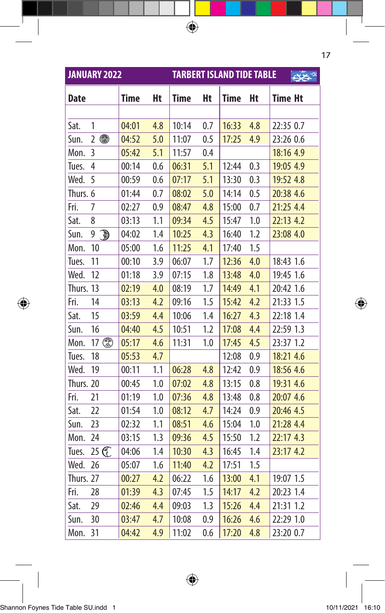|             | <b>JANUARY 2022</b> |             |     | <b>TARBERT ISLAND TIDE TABLE</b> |     |             |     |                |  |  |
|-------------|---------------------|-------------|-----|----------------------------------|-----|-------------|-----|----------------|--|--|
| <b>Date</b> |                     | <b>Time</b> | Ht  | <b>Time</b>                      | Ht  | <b>Time</b> | Ht  | <b>Time Ht</b> |  |  |
|             |                     |             |     |                                  |     |             |     |                |  |  |
| Sat.        | 1                   | 04:01       | 4.8 | 10:14                            | 0.7 | 16:33       | 4.8 | 22:35 0.7      |  |  |
| Sun.        | ●<br>$\overline{2}$ | 04:52       | 5.0 | 11:07                            | 0.5 | 17:25       | 4.9 | 23:26 0.6      |  |  |
| Mon.        | 3                   | 05:42       | 5.1 | 11:57                            | 0.4 |             |     | 18:16 4.9      |  |  |
| Tues.       | 4                   | 00:14       | 0.6 | 06:31                            | 5.1 | 12:44       | 0.3 | 19:05 4.9      |  |  |
| Wed.        | 5                   | 00:59       | 0.6 | 07:17                            | 5.1 | 13:30       | 0.3 | 19:52 4.8      |  |  |
| Thurs. 6    |                     | 01:44       | 0.7 | 08:02                            | 5.0 | 14:14       | 0.5 | 20:38 4.6      |  |  |
| Fri.        | 7                   | 02:27       | 0.9 | 08:47                            | 4.8 | 15:00       | 0.7 | 21:25 4.4      |  |  |
| Sat.        | 8                   | 03:13       | 1.1 | 09:34                            | 4.5 | 15:47       | 1.0 | 22:13 4.2      |  |  |
| Sun.        | 9<br><u>D</u>       | 04:02       | 1.4 | 10:25                            | 4.3 | 16:40       | 1.2 | 23:08 4.0      |  |  |
| Mon.        | 10                  | 05:00       | 1.6 | 11:25                            | 4.1 | 17:40       | 1.5 |                |  |  |
| Tues.       | 11                  | 00:10       | 3.9 | 06:07                            | 1.7 | 12:36       | 4.0 | 18:43 1.6      |  |  |
| Wed.        | 12                  | 01:18       | 3.9 | 07:15                            | 1.8 | 13:48       | 4.0 | 19:45 1.6      |  |  |
| Thurs. 13   |                     | 02:19       | 4.0 | 08:19                            | 1.7 | 14:49       | 4.1 | 20:42 1.6      |  |  |
| Fri.        | 14                  | 03:13       | 4.2 | 09:16                            | 1.5 | 15:42       | 4.2 | 21:33 1.5      |  |  |
| Sat.        | 15                  | 03:59       | 4.4 | 10:06                            | 1.4 | 16:27       | 4.3 | 22:18 1.4      |  |  |
| Sun.        | 16                  | 04:40       | 4.5 | 10:51                            | 1.2 | 17:08       | 4.4 | 22:59 1.3      |  |  |
| Mon.        | 17                  | 05:17       | 4.6 | 11:31                            | 1.0 | 17:45       | 4.5 | 23:37 1.2      |  |  |
| Tues.       | 18                  | 05:53       | 4.7 |                                  |     | 12:08       | 0.9 | 18:21 4.6      |  |  |
| Wed.        | 19                  | 00:11       | 1.1 | 06:28                            | 4.8 | 12:42       | 0.9 | 18:56 4.6      |  |  |
| Thurs. 20   |                     | 00:45       | 1.0 | 07:02                            | 4.8 | 13:15       | 0.8 | 19:31 4.6      |  |  |
| Fri.        | 21                  | 01:19       | 1.0 | 07:36                            | 4.8 | 13:48       | 0.8 | 20:07 4.6      |  |  |
| Sat.        | 22                  | 01:54       | 1.0 | 08:12                            | 4.7 | 14:24       | 0.9 | 20:46 4.5      |  |  |
| Sun.        | 23                  | 02:32       | 1.1 | 08:51                            | 4.6 | 15:04       | 1.0 | 21:28 4.4      |  |  |
| Mon.        | 24                  | 03:15       | 1.3 | 09:36                            | 4.5 | 15:50       | 1.2 | 22:17 4.3      |  |  |
| Tues.       | 25 G                | 04:06       | 1.4 | 10:30                            | 4.3 | 16:45       | 1.4 | 23:17 4.2      |  |  |
| Wed.        | 26                  | 05:07       | 1.6 | 11:40                            | 4.2 | 17:51       | 1.5 |                |  |  |
| Thurs. 27   |                     | 00:27       | 4.2 | 06:22                            | 1.6 | 13:00       | 4.1 | 19:07 1.5      |  |  |
| Fri.        | 28                  | 01:39       | 4.3 | 07:45                            | 1.5 | 14:17       | 4.2 | 20:23 1.4      |  |  |
| Sat.        | 29                  | 02:46       | 4.4 | 09:03                            | 1.3 | 15:26       | 4.4 | 21:31 1.2      |  |  |
| Sun.        | 30                  | 03:47       | 4.7 | 10:08                            | 0.9 | 16:26       | 4.6 | 22:29 1.0      |  |  |
| Mon.        | 31                  | 04:42       | 4.9 | 11:02                            | 0.6 | 17:20       | 4.8 | 23:20 0.7      |  |  |

 $\bigoplus$ 

 $\bigoplus$ 

17

I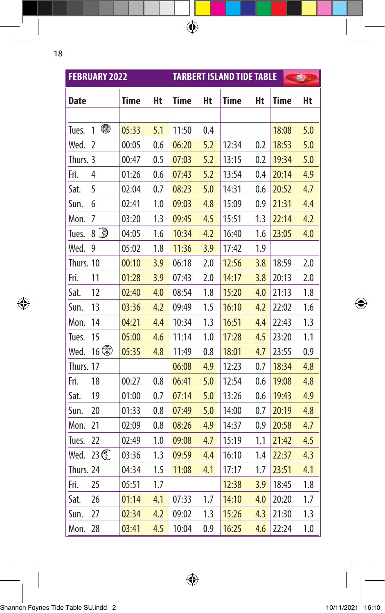|             | <b>FEBRUARY 2022</b> |             |     |       |     | <b>TARBERT ISLAND TIDE TABLE</b> |     |             | <b>START START</b> |
|-------------|----------------------|-------------|-----|-------|-----|----------------------------------|-----|-------------|--------------------|
| <b>Date</b> |                      | <b>Time</b> | Ht  | Time  | Ht  | <b>Time</b>                      | Ht  | <b>Time</b> | Ht                 |
|             |                      |             |     |       |     |                                  |     |             |                    |
| Tues.       | ⋒<br>1               | 05:33       | 5.1 | 11:50 | 0.4 |                                  |     | 18:08       | 5.0                |
| Wed.        | $\overline{2}$       | 00:05       | 0.6 | 06:20 | 5.2 | 12:34                            | 0.2 | 18:53       | 5.0                |
| Thurs. 3    |                      | 00:47       | 0.5 | 07:03 | 5.2 | 13:15                            | 0.2 | 19:34       | 5.0                |
| Fri.        | 4                    | 01:26       | 0.6 | 07:43 | 5.2 | 13:54                            | 0.4 | 20:14       | 4.9                |
| Sat.        | 5                    | 02:04       | 0.7 | 08:23 | 5.0 | 14:31                            | 0.6 | 20:52       | 4.7                |
| Sun.        | 6                    | 02:41       | 1.0 | 09:03 | 4.8 | 15:09                            | 0.9 | 21:31       | 4.4                |
| Mon.        | 7                    | 03:20       | 1.3 | 09:45 | 4.5 | 15:51                            | 1.3 | 22:14       | 4.2                |
| Tues.       | 8 D                  | 04:05       | 1.6 | 10:34 | 4.2 | 16:40                            | 1.6 | 23:05       | 4.0                |
| Wed.        | 9                    | 05:02       | 1.8 | 11:36 | 3.9 | 17:42                            | 1.9 |             |                    |
| Thurs. 10   |                      | 00:10       | 3.9 | 06:18 | 2.0 | 12:56                            | 3.8 | 18:59       | 2.0                |
| Fri.        | 11                   | 01:28       | 3.9 | 07:43 | 2.0 | 14:17                            | 3.8 | 20:13       | 2.0                |
| Sat.        | 12                   | 02:40       | 4.0 | 08:54 | 1.8 | 15:20                            | 4.0 | 21:13       | 1.8                |
| Sun.        | 13                   | 03:36       | 4.2 | 09:49 | 1.5 | 16:10                            | 4.2 | 22:02       | 1.6                |
| Mon.        | 14                   | 04:21       | 4.4 | 10:34 | 1.3 | 16:51                            | 4.4 | 22:43       | 1.3                |
| Tues.       | 15                   | 05:00       | 4.6 | 11:14 | 1.0 | 17:28                            | 4.5 | 23:20       | 1.1                |
| Wed.        | $16$ \$              | 05:35       | 4.8 | 11:49 | 0.8 | 18:01                            | 4.7 | 23:55       | 0.9                |
| Thurs. 17   |                      |             |     | 06:08 | 4.9 | 12:23                            | 0.7 | 18:34       | 4.8                |
| Fri.        | 18                   | 00:27       | 0.8 | 06:41 | 5.0 | 12:54                            | 0.6 | 19:08       | 4.8                |
| Sat.        | 19                   | 01:00       | 0.7 | 07:14 | 5.0 | 13:26                            | 0.6 | 19:43       | 4.9                |
| Sun.        | 20                   | 01:33       | 0.8 | 07:49 | 5.0 | 14:00                            | 0.7 | 20:19       | 4.8                |
| Mon.        | 21                   | 02:09       | 0.8 | 08:26 | 4.9 | 14:37                            | 0.9 | 20:58       | 4.7                |
| Tues.       | 22                   | 02:49       | 1.0 | 09:08 | 4.7 | 15:19                            | 1.1 | 21:42       | 4.5                |
| Wed.        | 23 C                 | 03:36       | 1.3 | 09:59 | 4.4 | 16:10                            | 1.4 | 22:37       | 4.3                |
| Thurs. 24   |                      | 04:34       | 1.5 | 11:08 | 4.1 | 17:17                            | 1.7 | 23:51       | 4.1                |
| Fri.        | 25                   | 05:51       | 1.7 |       |     | 12:38                            | 3.9 | 18:45       | 1.8                |
| Sat.        | 26                   | 01:14       | 4.1 | 07:33 | 1.7 | 14:10                            | 4.0 | 20:20       | 1.7                |
| Sun.        | 27                   | 02:34       | 4.2 | 09:02 | 1.3 | 15:26                            | 4.3 | 21:30       | 1.3                |
| Mon.        | 28                   | 03:41       | 4.5 | 10:04 | 0.9 | 16:25                            | 4.6 | 22:24       | 1.0                |

 $\bigoplus$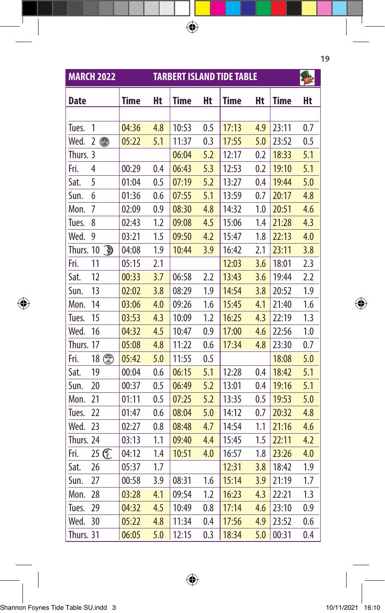| <b>TARBERT ISLAND TIDE TABLE</b><br><b>MARCH 2022</b> |                     |             |     |             |     |             |     |             |     |
|-------------------------------------------------------|---------------------|-------------|-----|-------------|-----|-------------|-----|-------------|-----|
| <b>Date</b>                                           |                     | <b>Time</b> | Ht  | <b>Time</b> | Ht  | <b>Time</b> | Ht  | <b>Time</b> | Ht  |
|                                                       |                     |             |     |             |     |             |     |             |     |
| Tues.                                                 | 1                   | 04:36       | 4.8 | 10:53       | 0.5 | 17:13       | 4.9 | 23:11       | 0.7 |
| Wed.                                                  | $\overline{2}$<br>⋒ | 05:22       | 5.1 | 11:37       | 0.3 | 17:55       | 5.0 | 23:52       | 0.5 |
| Thurs. 3                                              |                     |             |     | 06:04       | 5.2 | 12:17       | 0.2 | 18:33       | 5.1 |
| Fri.                                                  | 4                   | 00:29       | 0.4 | 06:43       | 5.3 | 12:53       | 0.2 | 19:10       | 5.1 |
| Sat.                                                  | 5                   | 01:04       | 0.5 | 07:19       | 5.2 | 13:27       | 0.4 | 19:44       | 5.0 |
| Sun.                                                  | 6                   | 01:36       | 0.6 | 07:55       | 5.1 | 13:59       | 0.7 | 20:17       | 4.8 |
| Mon.                                                  | 7                   | 02:09       | 0.9 | 08:30       | 4.8 | 14:32       | 1.0 | 20:51       | 4.6 |
| Tues.                                                 | 8                   | 02:43       | 1.2 | 09:08       | 4.5 | 15:06       | 1.4 | 21:28       | 4.3 |
| Wed.                                                  | 9                   | 03:21       | 1.5 | 09:50       | 4.2 | 15:47       | 1.8 | 22:13       | 4.0 |
| Thurs. 10                                             | Ð                   | 04:08       | 1.9 | 10:44       | 3.9 | 16:42       | 2.1 | 23:11       | 3.8 |
| Fri.                                                  | 11                  | 05:15       | 2.1 |             |     | 12:03       | 3.6 | 18:01       | 2.3 |
| Sat.                                                  | 12                  | 00:33       | 3.7 | 06:58       | 2.2 | 13:43       | 3.6 | 19:44       | 2.2 |
| Sun.                                                  | 13                  | 02:02       | 3.8 | 08:29       | 1.9 | 14:54       | 3.8 | 20:52       | 1.9 |
| Mon.                                                  | 14                  | 03:06       | 4.0 | 09:26       | 1.6 | 15:45       | 4.1 | 21:40       | 1.6 |
| Tues.                                                 | 15                  | 03:53       | 4.3 | 10:09       | 1.2 | 16:25       | 4.3 | 22:19       | 1.3 |
| Wed.                                                  | 16                  | 04:32       | 4.5 | 10:47       | 0.9 | 17:00       | 4.6 | 22:56       | 1.0 |
| Thurs.                                                | 17                  | 05:08       | 4.8 | 11:22       | 0.6 | 17:34       | 4.8 | 23:30       | 0.7 |
| Fri.                                                  |                     | 05:42       | 5.0 | 11:55       | 0.5 |             |     | 18:08       | 5.0 |
| Sat.                                                  | 19                  | 00:04       | 0.6 | 06:15       | 5.1 | 12:28       | 0.4 | 18:42       | 5.1 |
| Sun.                                                  | 20                  | 00:37       | 0.5 | 06:49       | 5.2 | 13:01       | 0.4 | 19:16       | 5.1 |
| Mon.                                                  | 21                  | 01:11       | 0.5 | 07:25       | 5.2 | 13:35       | 0.5 | 19:53       | 5.0 |
| Tues.                                                 | 22                  | 01:47       | 0.6 | 08:04       | 5.0 | 14:12       | 0.7 | 20:32       | 4.8 |
| Wed.                                                  | 23                  | 02:27       | 0.8 | 08:48       | 4.7 | 14:54       | 1.1 | 21:16       | 4.6 |
| Thurs. 24                                             |                     | 03:13       | 1.1 | 09:40       | 4.4 | 15:45       | 1.5 | 22:11       | 4.2 |
| Fri.                                                  | 25 G                | 04:12       | 1.4 | 10:51       | 4.0 | 16:57       | 1.8 | 23:26       | 4.0 |
| Sat.                                                  | 26                  | 05:37       | 1.7 |             |     | 12:31       | 3.8 | 18:42       | 1.9 |
| Sun.                                                  | 27                  | 00:58       | 3.9 | 08:31       | 1.6 | 15:14       | 3.9 | 21:19       | 1.7 |
| Mon.                                                  | 28                  | 03:28       | 4.1 | 09:54       | 1.2 | 16:23       | 4.3 | 22:21       | 1.3 |
| Tues.                                                 | 29                  | 04:32       | 4.5 | 10:49       | 0.8 | 17:14       | 4.6 | 23:10       | 0.9 |
| Wed.                                                  | 30                  | 05:22       | 4.8 | 11:34       | 0.4 | 17:56       | 4.9 | 23:52       | 0.6 |
| Thurs. 31                                             |                     | 06:05       | 5.0 | 12:15       | 0.3 | 18:34       | 5.0 | 00:31       | 0.4 |

 $\bigoplus$ 

19

 $\bigoplus$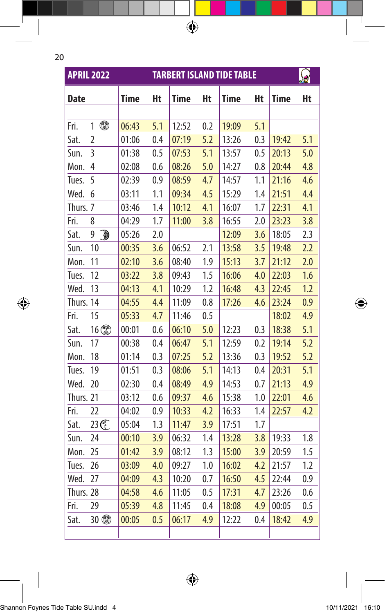$\bigoplus$ 

|             | <b>APRIL 2022</b> |             |     |                |            | <b>TARBERT ISLAND TIDE TABLE</b> |            |                |            |
|-------------|-------------------|-------------|-----|----------------|------------|----------------------------------|------------|----------------|------------|
| <b>Date</b> |                   | <b>Time</b> | Ht  | <b>Time</b>    | Ht         | <b>Time</b>                      | Ht         | <b>Time</b>    | Ht         |
| Fri.        | 4<br>1            | 06:43       | 5.1 | 12:52          | 0.2        | 19:09                            | 5.1        |                |            |
| Sat.        |                   | 01:06       |     | 07:19          | 5.2        | 13:26                            |            | 19:42          |            |
| Sun.        | 2<br>3            |             | 0.4 |                |            |                                  | 0.3        |                | 5.1        |
|             | 4                 | 01:38       | 0.5 | 07:53<br>08:26 | 5.1<br>5.0 | 13:57<br>14:27                   | 0.5<br>0.8 | 20:13<br>20:44 | 5.0<br>4.8 |
| Mon.        | 5                 | 02:08       | 0.6 |                |            |                                  |            |                |            |
| Tues.       |                   | 02:39       | 0.9 | 08:59          | 4.7        | 14:57                            | 1.1<br>1.4 | 21:16          | 4.6        |
| Wed.        | 6                 | 03:11       | 1.1 | 09:34          | 4.5        | 15:29                            |            | 21:51          | 4.4        |
| Thurs. 7    |                   | 03:46       | 1.4 | 10:12          | 4.1        | 16:07                            | 1.7        | 22:31          | 4.1        |
| Fri.        | 8                 | 04:29       | 1.7 | 11:00          | 3.8        | 16:55                            | 2.0        | 23:23          | 3.8        |
| Sat.        | Ð<br>9            | 05:26       | 2.0 |                |            | 12:09                            | 3.6        | 18:05          | 2.3        |
| Sun.        | 10                | 00:35       | 3.6 | 06:52          | 2.1        | 13:58                            | 3.5        | 19:48          | 2.2        |
| Mon.        | 11                | 02:10       | 3.6 | 08:40          | 1.9        | 15:13                            | 3.7        | 21:12          | 2.0        |
| Tues.       | 12                | 03:22       | 3.8 | 09:43          | 1.5        | 16:06                            | 4.0        | 22:03          | 1.6        |
| Wed.        | 13                | 04:13       | 4.1 | 10:29          | 1.2        | 16:48                            | 4.3        | 22:45          | 1.2        |
| Thurs. 14   |                   | 04:55       | 4.4 | 11:09          | 0.8        | 17:26                            | 4.6        | 23:24          | 0.9        |
| Fri.        | 15                | 05:33       | 4.7 | 11:46          | 0.5        |                                  |            | 18:02          | 4.9        |
| Sat.        | $16$ (            | 00:01       | 0.6 | 06:10          | 5.0        | 12:23                            | 0.3        | 18:38          | 5.1        |
| Sun.        | 17                | 00:38       | 0.4 | 06:47          | 5.1        | 12:59                            | 0.2        | 19:14          | 5.2        |
| Mon.        | 18                | 01:14       | 0.3 | 07:25          | 5.2        | 13:36                            | 0.3        | 19:52          | 5.2        |
| Tues.       | 19                | 01:51       | 0.3 | 08:06          | 5.1        | 14:13                            | 0.4        | 20:31          | 5.1        |
| Wed.        | 20                | 02:30       | 0.4 | 08:49          | 4.9        | 14:53                            | 0.7        | 21:13          | 4.9        |
| Thurs. 21   |                   | 03:12       | 0.6 | 09:37          | 4.6        | 15:38                            | 1.0        | 22:01          | 4.6        |
| Fri.        | 22                | 04:02       | 0.9 | 10:33          | 4.2        | 16:33                            | 1.4        | 22:57          | 4.2        |
| Sat.        | 23 C              | 05:04       | 1.3 | 11:47          | 3.9        | 17:51                            | 1.7        |                |            |
| Sun.        | 24                | 00:10       | 3.9 | 06:32          | 1.4        | 13:28                            | 3.8        | 19:33          | 1.8        |
| Mon.        | 25                | 01:42       | 3.9 | 08:12          | 1.3        | 15:00                            | 3.9        | 20:59          | 1.5        |
| Tues.       | 26                | 03:09       | 4.0 | 09:27          | 1.0        | 16:02                            | 4.2        | 21:57          | 1.2        |
| Wed.        | 27                | 04:09       | 4.3 | 10:20          | 0.7        | 16:50                            | 4.5        | 22:44          | 0.9        |
| Thurs. 28   |                   | 04:58       | 4.6 | 11:05          | 0.5        | 17:31                            | 4.7        | 23:26          | 0.6        |
| Fri.        | 29                | 05:39       | 4.8 | 11:45          | 0.4        | 18:08                            | 4.9        | 00:05          | 0.5        |
| Sat.        | $30$ to           | 00:05       | 0.5 | 06:17          | 4.9        | 12:22                            | 0.4        | 18:42          | 4.9        |
|             |                   |             |     |                |            |                                  |            |                |            |

 $\bigoplus$ 

 $\bigoplus$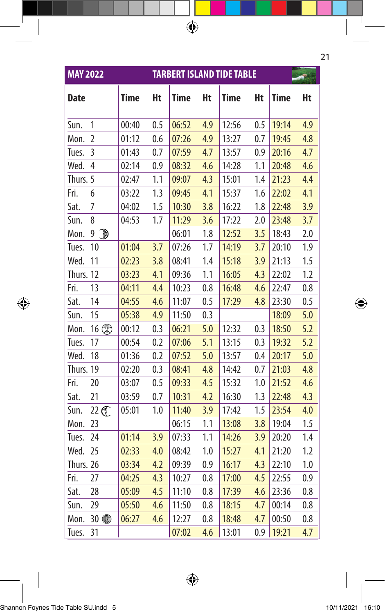| <b>MAY 2022</b> |                   |             |     |       |     | <b>TARBERT ISLAND TIDE TABLE</b> |     |             |     |
|-----------------|-------------------|-------------|-----|-------|-----|----------------------------------|-----|-------------|-----|
| <b>Date</b>     |                   | <b>Time</b> | Ht  | Time  | Ht  | <b>Time</b>                      | Ht  | <b>Time</b> | Ht  |
|                 |                   |             |     |       |     |                                  |     |             |     |
| Sun.            | 1                 | 00:40       | 0.5 | 06:52 | 4.9 | 12:56                            | 0.5 | 19:14       | 4.9 |
| Mon.            | $\overline{2}$    | 01:12       | 0.6 | 07:26 | 4.9 | 13:27                            | 0.7 | 19:45       | 4.8 |
| Tues.           | 3                 | 01:43       | 0.7 | 07:59 | 4.7 | 13:57                            | 0.9 | 20:16       | 4.7 |
| Wed.            | $\overline{4}$    | 02:14       | 0.9 | 08:32 | 4.6 | 14:28                            | 1.1 | 20:48       | 4.6 |
| Thurs. 5        |                   | 02:47       | 1.1 | 09:07 | 4.3 | 15:01                            | 1.4 | 21:23       | 4.4 |
| Fri.            | 6                 | 03:22       | 1.3 | 09:45 | 4.1 | 15:37                            | 1.6 | 22:02       | 4.1 |
| Sat.            | 7                 | 04:02       | 1.5 | 10:30 | 3.8 | 16:22                            | 1.8 | 22:48       | 3.9 |
| Sun.            | 8                 | 04:53       | 1.7 | 11:29 | 3.6 | 17:22                            | 2.0 | 23:48       | 3.7 |
| Mon.            | $\mathbb{D}$<br>9 |             |     | 06:01 | 1.8 | 12:52                            | 3.5 | 18:43       | 2.0 |
| Tues.           | 10                | 01:04       | 3.7 | 07:26 | 1.7 | 14:19                            | 3.7 | 20:10       | 1.9 |
| Wed.            | 11                | 02:23       | 3.8 | 08:41 | 1.4 | 15:18                            | 3.9 | 21:13       | 1.5 |
| Thurs. 12       |                   | 03:23       | 4.1 | 09:36 | 1.1 | 16:05                            | 4.3 | 22:02       | 1.2 |
| Fri.            | 13                | 04:11       | 4.4 | 10:23 | 0.8 | 16:48                            | 4.6 | 22:47       | 0.8 |
| Sat.            | 14                | 04:55       | 4.6 | 11:07 | 0.5 | 17:29                            | 4.8 | 23:30       | 0.5 |
| Sun.            | 15                | 05:38       | 4.9 | 11:50 | 0.3 |                                  |     | 18:09       | 5.0 |
| Mon.            | 16 2              | 00:12       | 0.3 | 06:21 | 5.0 | 12:32                            | 0.3 | 18:50       | 5.2 |
| Tues.           | 17                | 00:54       | 0.2 | 07:06 | 5.1 | 13:15                            | 0.3 | 19:32       | 5.2 |
| Wed.            | 18                | 01:36       | 0.2 | 07:52 | 5.0 | 13:57                            | 0.4 | 20:17       | 5.0 |
| Thurs. 19       |                   | 02:20       | 0.3 | 08:41 | 4.8 | 14:42                            | 0.7 | 21:03       | 4.8 |
| Fri.            | 20                | 03:07       | 0.5 | 09:33 | 4.5 | 15:32                            | 1.0 | 21:52       | 4.6 |
| Sat.            | 21                | 03:59       | 0.7 | 10:31 | 4.2 | 16:30                            | 1.3 | 22:48       | 4.3 |
| Sun.            | 22 C              | 05:01       | 1.0 | 11:40 | 3.9 | 17:42                            | 1.5 | 23:54       | 4.0 |
| Mon.            | 23                |             |     | 06:15 | 1.1 | 13:08                            | 3.8 | 19:04       | 1.5 |
| Tues.           | 24                | 01:14       | 3.9 | 07:33 | 1.1 | 14:26                            | 3.9 | 20:20       | 1.4 |
| Wed.            | 25                | 02:33       | 4.0 | 08:42 | 1.0 | 15:27                            | 4.1 | 21:20       | 1.2 |
| Thurs. 26       |                   | 03:34       | 4.2 | 09:39 | 0.9 | 16:17                            | 4.3 | 22:10       | 1.0 |
| Fri.            | 27                | 04:25       | 4.3 | 10:27 | 0.8 | 17:00                            | 4.5 | 22:55       | 0.9 |
| Sat.            | 28                | 05:09       | 4.5 | 11:10 | 0.8 | 17:39                            | 4.6 | 23:36       | 0.8 |
| Sun.            | 29                | 05:50       | 4.6 | 11:50 | 0.8 | 18:15                            | 4.7 | 00:14       | 0.8 |
| Mon.            | 30 4              | 06:27       | 4.6 | 12:27 | 0.8 | 18:48                            | 4.7 | 00:50       | 0.8 |
| Tues.           | 31                |             |     | 07:02 | 4.6 | 13:01                            | 0.9 | 19:21       | 4.7 |

 $\bigoplus$ 

 $\bigoplus$ 

|<br>Shannon Foynes Tide Table SU.indd 5 10/11/2021 16:10 10/11/2021 16:10

 $\bigoplus$ 

21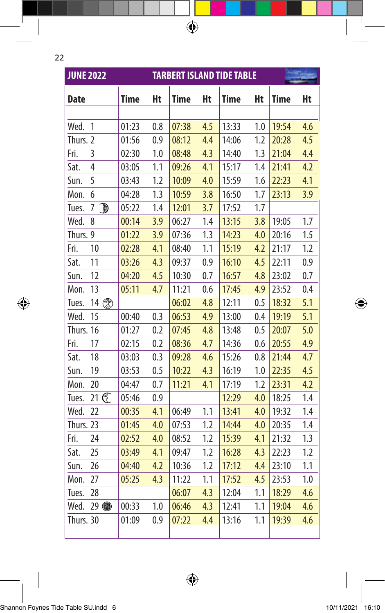| e. |  |
|----|--|
|    |  |
|    |  |

 $\overline{\phantom{a}}$ 

 $\bigoplus$ 

| <b>JUNE 2022</b> |                   |             |     |       |     | <b>TARBERT ISLAND TIDE TABLE</b> |     |             |     |
|------------------|-------------------|-------------|-----|-------|-----|----------------------------------|-----|-------------|-----|
| <b>Date</b>      |                   | <b>Time</b> | Ht  | Time  | Ht  | Time                             | Ht  | <b>Time</b> | Ht  |
|                  |                   |             |     |       |     |                                  |     |             |     |
| Wed.             | 1                 | 01:23       | 0.8 | 07:38 | 4.5 | 13:33                            | 1.0 | 19:54       | 4.6 |
| Thurs. 2         |                   | 01:56       | 0.9 | 08:12 | 4.4 | 14:06                            | 1.2 | 20:28       | 4.5 |
| Fri.             | 3                 | 02:30       | 1.0 | 08:48 | 4.3 | 14:40                            | 1.3 | 21:04       | 4.4 |
| Sat.             | 4                 | 03:05       | 1.1 | 09:26 | 4.1 | 15:17                            | 1.4 | 21:41       | 4.2 |
| Sun.             | 5                 | 03:43       | 1.2 | 10:09 | 4.0 | 15:59                            | 1.6 | 22:23       | 4.1 |
| Mon.             | 6                 | 04:28       | 1.3 | 10:59 | 3.8 | 16:50                            | 1.7 | 23:13       | 3.9 |
| Tues.            | $\mathbb{D}$<br>7 | 05:22       | 1.4 | 12:01 | 3.7 | 17:52                            | 1.7 |             |     |
| Wed.             | 8                 | 00:14       | 3.9 | 06:27 | 1.4 | 13:15                            | 3.8 | 19:05       | 1.7 |
| Thurs. 9         |                   | 01:22       | 3.9 | 07:36 | 1.3 | 14:23                            | 4.0 | 20:16       | 1.5 |
| Fri.             | 10                | 02:28       | 4.1 | 08:40 | 1.1 | 15:19                            | 4.2 | 21:17       | 1.2 |
| Sat.             | 11                | 03:26       | 4.3 | 09:37 | 0.9 | 16:10                            | 4.5 | 22:11       | 0.9 |
| Sun.             | 12                | 04:20       | 4.5 | 10:30 | 0.7 | 16:57                            | 4.8 | 23:02       | 0.7 |
| Mon.             | 13                | 05:11       | 4.7 | 11:21 | 0.6 | 17:45                            | 4.9 | 23:52       | 0.4 |
| Tues.            | 14 2              |             |     | 06:02 | 4.8 | 12:11                            | 0.5 | 18:32       | 5.1 |
| Wed.             | 15                | 00:40       | 0.3 | 06:53 | 4.9 | 13:00                            | 0.4 | 19:19       | 5.1 |
| Thurs. 16        |                   | 01:27       | 0.2 | 07:45 | 4.8 | 13:48                            | 0.5 | 20:07       | 5.0 |
| Fri.             | 17                | 02:15       | 0.2 | 08:36 | 4.7 | 14:36                            | 0.6 | 20:55       | 4.9 |
| Sat.             | 18                | 03:03       | 0.3 | 09:28 | 4.6 | 15:26                            | 0.8 | 21:44       | 4.7 |
| Sun.             | 19                | 03:53       | 0.5 | 10:22 | 4.3 | 16:19                            | 1.0 | 22:35       | 4.5 |
| Mon.             | 20                | 04:47       | 0.7 | 11:21 | 4.1 | 17:19                            | 1.2 | 23:31       | 4.2 |
| Tues.            | 21 C              | 05:46       | 0.9 |       |     | 12:29                            | 4.0 | 18:25       | 1.4 |
| Wed.             | 22                | 00:35       | 4.1 | 06:49 | 1.1 | 13:41                            | 4.0 | 19:32       | 1.4 |
| Thurs. 23        |                   | 01:45       | 4.0 | 07:53 | 1.2 | 14:44                            | 4.0 | 20:35       | 1.4 |
| Fri.             | 24                | 02:52       | 4.0 | 08:52 | 1.2 | 15:39                            | 4.1 | 21:32       | 1.3 |
| Sat.             | 25                | 03:49       | 4.1 | 09:47 | 1.2 | 16:28                            | 4.3 | 22:23       | 1.2 |
| Sun.             | 26                | 04:40       | 4.2 | 10:36 | 1.2 | 17:12                            | 4.4 | 23:10       | 1.1 |
| Mon.             | 27                | 05:25       | 4.3 | 11:22 | 1.1 | 17:52                            | 4.5 | 23:53       | 1.0 |
| Tues.            | 28                |             |     | 06:07 | 4.3 | 12:04                            | 1.1 | 18:29       | 4.6 |
| Wed.             | 29 4              | 00:33       | 1.0 | 06:46 | 4.3 | 12:41                            | 1.1 | 19:04       | 4.6 |
| Thurs. 30        |                   | 01:09       | 0.9 | 07:22 | 4.4 | 13:16                            | 1.1 | 19:39       | 4.6 |
|                  |                   |             |     |       |     |                                  |     |             |     |

 $\bigoplus$ 

 $\bigoplus$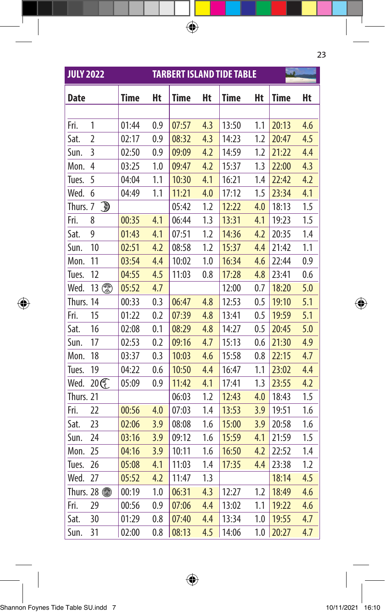| <b>JULY 2022</b> |                                          |             |     |             |     | <b>TARBERT ISLAND TIDE TABLE</b> |     |             |     |
|------------------|------------------------------------------|-------------|-----|-------------|-----|----------------------------------|-----|-------------|-----|
| <b>Date</b>      |                                          | <b>Time</b> | Ht  | <b>Time</b> | Ht  | <b>Time</b>                      | Ht  | <b>Time</b> | Ht  |
|                  |                                          |             |     |             |     |                                  |     |             |     |
| Fri.             | 1                                        | 01:44       | 0.9 | 07:57       | 4.3 | 13:50                            | 1.1 | 20:13       | 4.6 |
| Sat.             | $\overline{2}$                           | 02:17       | 0.9 | 08:32       | 4.3 | 14:23                            | 1.2 | 20:47       | 4.5 |
| Sun.             | 3                                        | 02:50       | 0.9 | 09:09       | 4.2 | 14:59                            | 1.2 | 21:22       | 4.4 |
| Mon.             | $\overline{4}$                           | 03:25       | 1.0 | 09:47       | 4.2 | 15:37                            | 1.3 | 22:00       | 4.3 |
| Tues.            | 5                                        | 04:04       | 1.1 | 10:30       | 4.1 | 16:21                            | 1.4 | 22:42       | 4.2 |
| Wed.             | 6                                        | 04:49       | 1.1 | 11:21       | 4.0 | 17:12                            | 1.5 | 23:34       | 4.1 |
| Thurs. 7         | $\textcolor{red}{\textcircled{\tiny 3}}$ |             |     | 05:42       | 1.2 | 12:22                            | 4.0 | 18:13       | 1.5 |
| Fri.             | 8                                        | 00:35       | 4.1 | 06:44       | 1.3 | 13:31                            | 4.1 | 19:23       | 1.5 |
| Sat.             | 9                                        | 01:43       | 4.1 | 07:51       | 1.2 | 14:36                            | 4.2 | 20:35       | 1.4 |
| Sun.             | 10                                       | 02:51       | 4.2 | 08:58       | 1.2 | 15:37                            | 4.4 | 21:42       | 1.1 |
| Mon.             | 11                                       | 03:54       | 4.4 | 10:02       | 1.0 | 16:34                            | 4.6 | 22:44       | 0.9 |
| Tues.            | 12                                       | 04:55       | 4.5 | 11:03       | 0.8 | 17:28                            | 4.8 | 23:41       | 0.6 |
| Wed.             | 13 2                                     | 05:52       | 4.7 |             |     | 12:00                            | 0.7 | 18:20       | 5.0 |
| Thurs. 14        |                                          | 00:33       | 0.3 | 06:47       | 4.8 | 12:53                            | 0.5 | 19:10       | 5.1 |
| Fri.             | 15                                       | 01:22       | 0.2 | 07:39       | 4.8 | 13:41                            | 0.5 | 19:59       | 5.1 |
| Sat.             | 16                                       | 02:08       | 0.1 | 08:29       | 4.8 | 14:27                            | 0.5 | 20:45       | 5.0 |
| Sun.             | 17                                       | 02:53       | 0.2 | 09:16       | 4.7 | 15:13                            | 0.6 | 21:30       | 4.9 |
| Mon.             | 18                                       | 03:37       | 0.3 | 10:03       | 4.6 | 15:58                            | 0.8 | 22:15       | 4.7 |
| Tues.            | 19                                       | 04:22       | 0.6 | 10:50       | 4.4 | 16:47                            | 1.1 | 23:02       | 4.4 |
| Wed.             | 20 C                                     | 05:09       | 0.9 | 11:42       | 4.1 | 17:41                            | 1.3 | 23:55       | 4.2 |
| Thurs. 21        |                                          |             |     | 06:03       | 1.2 | 12:43                            | 4.0 | 18:43       | 1.5 |
| Fri.             | 22                                       | 00:56       | 4.0 | 07:03       | 1.4 | 13:53                            | 3.9 | 19:51       | 1.6 |
| Sat.             | 23                                       | 02:06       | 3.9 | 08:08       | 1.6 | 15:00                            | 3.9 | 20:58       | 1.6 |
| Sun.             | 24                                       | 03:16       | 3.9 | 09:12       | 1.6 | 15:59                            | 4.1 | 21:59       | 1.5 |
| Mon.             | 25                                       | 04:16       | 3.9 | 10:11       | 1.6 | 16:50                            | 4.2 | 22:52       | 1.4 |
| Tues.            | 26                                       | 05:08       | 4.1 | 11:03       | 1.4 | 17:35                            | 4.4 | 23:38       | 1.2 |
| Wed.             | 27                                       | 05:52       | 4.2 | 11:47       | 1.3 |                                  |     | 18:14       | 4.5 |
|                  | Thurs. 28 <b></b>                        | 00:19       | 1.0 | 06:31       | 4.3 | 12:27                            | 1.2 | 18:49       | 4.6 |
| Fri.             | 29                                       | 00:56       | 0.9 | 07:06       | 4.4 | 13:02                            | 1.1 | 19:22       | 4.6 |
| Sat.             | 30                                       | 01:29       | 0.8 | 07:40       | 4.4 | 13:34                            | 1.0 | 19:55       | 4.7 |
| Sun.             | 31                                       | 02:00       | 0.8 | 08:13       | 4.5 | 14:06                            | 1.0 | 20:27       | 4.7 |

 $\bigoplus$ 

23

|<br>Shannon Foynes Tide Table SU.indd 7 10/11/2021 16:10 10/11/2021 16:10

 $\bigoplus$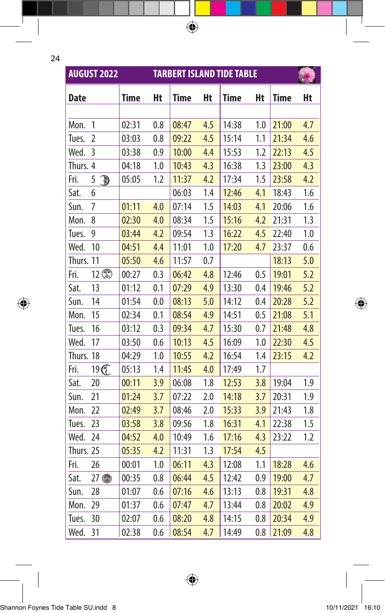$\bigoplus$ 

|             | <b>AUGUST 2022</b>  |             |     |             |     | <b>TARBERT ISLAND TIDE TABLE</b> |     |             |     |
|-------------|---------------------|-------------|-----|-------------|-----|----------------------------------|-----|-------------|-----|
| <b>Date</b> |                     | <b>Time</b> | Ht  | <b>Time</b> | Ht  | <b>Time</b>                      | Ht  | <b>Time</b> | Ht  |
|             |                     |             |     |             |     |                                  |     |             |     |
| Mon.        | 1                   | 02:31       | 0.8 | 08:47       | 4.5 | 14:38                            | 1.0 | 21:00       | 4.7 |
| Tues.       | 2                   | 03:03       | 0.8 | 09:22       | 4.5 | 15:14                            | 1.1 | 21:34       | 4.6 |
| Wed.        | 3                   | 03:38       | 0.9 | 10:00       | 4.4 | 15:53                            | 1.2 | 22:13       | 4.5 |
| Thurs. 4    |                     | 04:18       | 1.0 | 10:43       | 4.3 | 16:38                            | 1.3 | 23:00       | 4.3 |
| Fri.        | 5<br>$\mathbb{R}^2$ | 05:05       | 1.2 | 11:37       | 4.2 | 17:34                            | 1.5 | 23:58       | 4.2 |
| Sat.        | 6                   |             |     | 06:03       | 1.4 | 12:46                            | 4.1 | 18:43       | 1.6 |
| Sun.        | 7                   | 01:11       | 4.0 | 07:14       | 1.5 | 14:03                            | 4.1 | 20:06       | 1.6 |
| Mon.        | 8                   | 02:30       | 4.0 | 08:34       | 1.5 | 15:16                            | 4.2 | 21:31       | 1.3 |
| Tues.       | 9                   | 03:44       | 4.2 | 09:54       | 1.3 | 16:22                            | 4.5 | 22:40       | 1.0 |
| Wed.        | 10                  | 04:51       | 4.4 | 11:01       | 1.0 | 17:20                            | 4.7 | 23:37       | 0.6 |
| Thurs. 11   |                     | 05:50       | 4.6 | 11:57       | 0.7 |                                  |     | 18:13       | 5.0 |
| Fri.        | 12                  | 00:27       | 0.3 | 06:42       | 4.8 | 12:46                            | 0.5 | 19:01       | 5.2 |
| Sat.        | 13                  | 01:12       | 0.1 | 07:29       | 4.9 | 13:30                            | 0.4 | 19:46       | 5.2 |
| Sun.        | 14                  | 01:54       | 0.0 | 08:13       | 5.0 | 14:12                            | 0.4 | 20:28       | 5.2 |
| Mon.        | 15                  | 02:34       | 0.1 | 08:54       | 4.9 | 14:51                            | 0.5 | 21:08       | 5.1 |
| Tues.       | 16                  | 03:12       | 0.3 | 09:34       | 4.7 | 15:30                            | 0.7 | 21:48       | 4.8 |
| Wed.        | 17                  | 03:50       | 0.6 | 10:13       | 4.5 | 16:09                            | 1.0 | 22:30       | 4.5 |
| Thurs. 18   |                     | 04:29       | 1.0 | 10:55       | 4.2 | 16:54                            | 1.4 | 23:15       | 4.2 |
| Fri.        | 19 ①                | 05:13       | 1.4 | 11:45       | 4.0 | 17:49                            | 1.7 |             |     |
| Sat.        | 20                  | 00:11       | 3.9 | 06:08       | 1.8 | 12:53                            | 3.8 | 19:04       | 1.9 |
| Sun.        | 21                  | 01:24       | 3.7 | 07:22       | 2.0 | 14:18                            | 3.7 | 20:31       | 1.9 |
| Mon.        | 22                  | 02:49       | 3.7 | 08:46       | 2.0 | 15:33                            | 3.9 | 21:43       | 1.8 |
| Tues.       | 23                  | 03:58       | 3.8 | 09:56       | 1.8 | 16:31                            | 4.1 | 22:38       | 1.5 |
| Wed.        | 24                  | 04:52       | 4.0 | 10:49       | 1.6 | 17:16                            | 4.3 | 23:22       | 1.2 |
| Thurs. 25   |                     | 05:35       | 4.2 | 11:31       | 1.3 | 17:54                            | 4.5 |             |     |
| Fri.        | 26                  | 00:01       | 1.0 | 06:11       | 4.3 | 12:08                            | 1.1 | 18:28       | 4.6 |
| Sat.        | $27$ to             | 00:35       | 0.8 | 06:44       | 4.5 | 12:42                            | 0.9 | 19:00       | 4.7 |
| Sun.        | 28                  | 01:07       | 0.6 | 07:16       | 4.6 | 13:13                            | 0.8 | 19:31       | 4.8 |
| Mon.        | 29                  | 01:37       | 0.6 | 07:47       | 4.7 | 13:44                            | 0.8 | 20:02       | 4.9 |
| Tues.       | 30                  | 02:07       | 0.6 | 08:20       | 4.8 | 14:15                            | 0.8 | 20:34       | 4.9 |
| Wed.        | 31                  | 02:38       | 0.6 | 08:54       | 4.7 | 14:49                            | 0.8 | 21:09       | 4.8 |

 $\bigoplus$ 

 $\bigoplus$ 

 $\bigoplus$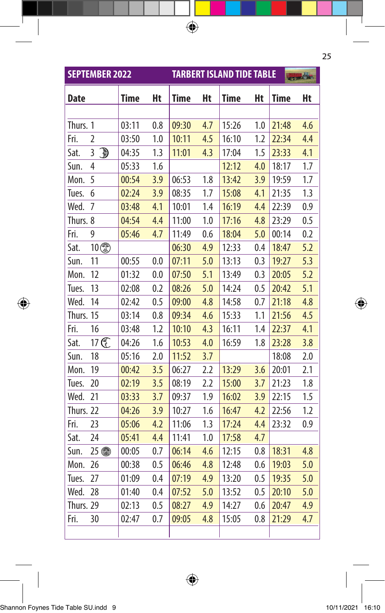|           | <b>SEPTEMBER 2022</b> |             |     |             |     | <b>TARBERT ISLAND TIDE TABLE</b> |     |             | to be |
|-----------|-----------------------|-------------|-----|-------------|-----|----------------------------------|-----|-------------|-------|
| Date      |                       | <b>Time</b> | Ht  | <b>Time</b> | Ht  | <b>Time</b>                      | Ht  | <b>Time</b> | Ht    |
|           |                       |             |     |             |     |                                  |     |             |       |
| Thurs. 1  |                       | 03:11       | 0.8 | 09:30       | 4.7 | 15:26                            | 1.0 | 21:48       | 4.6   |
| Fri.      | 2                     | 03:50       | 1.0 | 10:11       | 4.5 | 16:10                            | 1.2 | 22:34       | 4.4   |
| Sat.      | đ<br>3                | 04:35       | 1.3 | 11:01       | 4.3 | 17:04                            | 1.5 | 23:33       | 4.1   |
| Sun.      | 4                     | 05:33       | 1.6 |             |     | 12:12                            | 4.0 | 18:17       | 1.7   |
| Mon.      | 5                     | 00:54       | 3.9 | 06:53       | 1.8 | 13:42                            | 3.9 | 19:59       | 1.7   |
| Tues.     | 6                     | 02:24       | 3.9 | 08:35       | 1.7 | 15:08                            | 4.1 | 21:35       | 1.3   |
| Wed.      | 7                     | 03:48       | 4.1 | 10:01       | 1.4 | 16:19                            | 4.4 | 22:39       | 0.9   |
| Thurs. 8  |                       | 04:54       | 4.4 | 11:00       | 1.0 | 17:16                            | 4.8 | 23:29       | 0.5   |
| Fri.      | 9                     | 05:46       | 4.7 | 11:49       | 0.6 | 18:04                            | 5.0 | 00:14       | 0.2   |
| Sat.      | 10                    |             |     | 06:30       | 4.9 | 12:33                            | 0.4 | 18:47       | 5.2   |
| Sun.      | 11                    | 00:55       | 0.0 | 07:11       | 5.0 | 13:13                            | 0.3 | 19:27       | 5.3   |
| Mon.      | 12                    | 01:32       | 0.0 | 07:50       | 5.1 | 13:49                            | 0.3 | 20:05       | 5.2   |
| Tues.     | 13                    | 02:08       | 0.2 | 08:26       | 5.0 | 14:24                            | 0.5 | 20:42       | 5.1   |
| Wed.      | 14                    | 02:42       | 0.5 | 09:00       | 4.8 | 14:58                            | 0.7 | 21:18       | 4.8   |
| Thurs. 15 |                       | 03:14       | 0.8 | 09:34       | 4.6 | 15:33                            | 1.1 | 21:56       | 4.5   |
| Fri.      | 16                    | 03:48       | 1.2 | 10:10       | 4.3 | 16:11                            | 1.4 | 22:37       | 4.1   |
| Sat.      | 17 C                  | 04:26       | 1.6 | 10:53       | 4.0 | 16:59                            | 1.8 | 23:28       | 3.8   |
| Sun.      | 18                    | 05:16       | 2.0 | 11:52       | 3.7 |                                  |     | 18:08       | 2.0   |
| Mon.      | 19                    | 00:42       | 3.5 | 06:27       | 2.2 | 13:29                            | 3.6 | 20:01       | 2.1   |
| Tues.     | 20                    | 02:19       | 3.5 | 08:19       | 2.2 | 15:00                            | 3.7 | 21:23       | 1.8   |
| Wed.      | 21                    | 03:33       | 3.7 | 09:37       | 1.9 | 16:02                            | 3.9 | 22:15       | 1.5   |
| Thurs. 22 |                       | 04:26       | 3.9 | 10:27       | 1.6 | 16:47                            | 4.2 | 22:56       | 1.2   |
| Fri.      | 23                    | 05:06       | 4.2 | 11:06       | 1.3 | 17:24                            | 4.4 | 23:32       | 0.9   |
| Sat.      | 24                    | 05:41       | 4.4 | 11:41       | 1.0 | 17:58                            | 4.7 |             |       |
| Sun.      | 25 4                  | 00:05       | 0.7 | 06:14       | 4.6 | 12:15                            | 0.8 | 18:31       | 4.8   |
| Mon.      | 26                    | 00:38       | 0.5 | 06:46       | 4.8 | 12:48                            | 0.6 | 19:03       | 5.0   |
| Tues.     | 27                    | 01:09       | 0.4 | 07:19       | 4.9 | 13:20                            | 0.5 | 19:35       | 5.0   |
| Wed.      | 28                    | 01:40       | 0.4 | 07:52       | 5.0 | 13:52                            | 0.5 | 20:10       | 5.0   |
| Thurs. 29 |                       | 02:13       | 0.5 | 08:27       | 4.9 | 14:27                            | 0.6 | 20:47       | 4.9   |
| Fri.      | 30                    | 02:47       | 0.7 | 09:05       | 4.8 | 15:05                            | 0.8 | 21:29       | 4.7   |
|           |                       |             |     |             |     |                                  |     |             |       |

 $\bigoplus$ 

 $\bigoplus$ 

## |<br>Shannon Foynes Tide Table SU.indd 9 10/11/2021 16:10 10/11/2021 16:10

 $\bigoplus$ 

25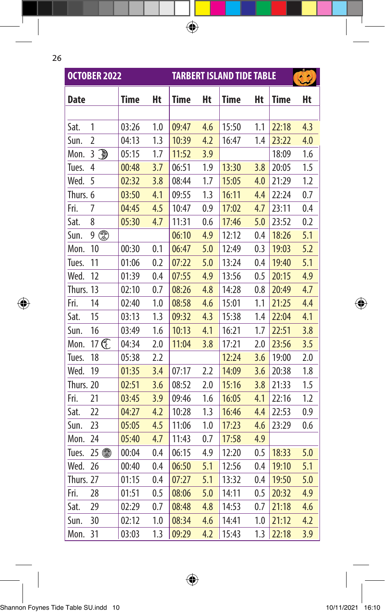$\bigoplus$ 

|             | <b>OCTOBER 2022</b> |             |     |             |     | <b>TARBERT ISLAND TIDE TABLE</b> |     |       | $\left( 3 \right)$ |
|-------------|---------------------|-------------|-----|-------------|-----|----------------------------------|-----|-------|--------------------|
| <b>Date</b> |                     | <b>Time</b> | Ht  | <b>Time</b> | Ht  | <b>Time</b>                      | Ht  | Time  | Ht                 |
|             |                     |             |     |             |     |                                  |     |       |                    |
| Sat.        | 1                   | 03:26       | 1.0 | 09:47       | 4.6 | 15:50                            | 1.1 | 22:18 | 4.3                |
| Sun.        | $\overline{2}$      | 04:13       | 1.3 | 10:39       | 4.2 | 16:47                            | 1.4 | 23:22 | 4.0                |
| Mon.        | $\mathbb{D}$<br>3   | 05:15       | 1.7 | 11:52       | 3.9 |                                  |     | 18:09 | 1.6                |
| Tues.       | 4                   | 00:48       | 3.7 | 06:51       | 1.9 | 13:30                            | 3.8 | 20:05 | 1.5                |
| Wed.        | 5                   | 02:32       | 3.8 | 08:44       | 1.7 | 15:05                            | 4.0 | 21:29 | 1.2                |
| Thurs. 6    |                     | 03:50       | 4.1 | 09:55       | 1.3 | 16:11                            | 4.4 | 22:24 | 0.7                |
| Fri.        | 7                   | 04:45       | 4.5 | 10:47       | 0.9 | 17:02                            | 4.7 | 23:11 | 0.4                |
| Sat.        | 8                   | 05:30       | 4.7 | 11:31       | 0.6 | 17:46                            | 5.0 | 23:52 | 0.2                |
| Sun.        | $9$ (               |             |     | 06:10       | 4.9 | 12:12                            | 0.4 | 18:26 | 5.1                |
| Mon.        | 10                  | 00:30       | 0.1 | 06:47       | 5.0 | 12:49                            | 0.3 | 19:03 | 5.2                |
| Tues.       | 11                  | 01:06       | 0.2 | 07:22       | 5.0 | 13:24                            | 0.4 | 19:40 | 5.1                |
| Wed.        | 12                  | 01:39       | 0.4 | 07:55       | 4.9 | 13:56                            | 0.5 | 20:15 | 4.9                |
| Thurs. 13   |                     | 02:10       | 0.7 | 08:26       | 4.8 | 14:28                            | 0.8 | 20:49 | 4.7                |
| Fri.        | 14                  | 02:40       | 1.0 | 08:58       | 4.6 | 15:01                            | 1.1 | 21:25 | 4.4                |
| Sat.        | 15                  | 03:13       | 1.3 | 09:32       | 4.3 | 15:38                            | 1.4 | 22:04 | 4.1                |
| Sun.        | 16                  | 03:49       | 1.6 | 10:13       | 4.1 | 16:21                            | 1.7 | 22:51 | 3.8                |
| Mon.        | 17 C                | 04:34       | 2.0 | 11:04       | 3.8 | 17:21                            | 2.0 | 23:56 | 3.5                |
| Tues.       | 18                  | 05:38       | 2.2 |             |     | 12:24                            | 3.6 | 19:00 | 2.0                |
| Wed.        | 19                  | 01:35       | 3.4 | 07:17       | 2.2 | 14:09                            | 3.6 | 20:38 | 1.8                |
| Thurs. 20   |                     | 02:51       | 3.6 | 08:52       | 2.0 | 15:16                            | 3.8 | 21:33 | 1.5                |
| Fri.        | 21                  | 03:45       | 3.9 | 09:46       | 1.6 | 16:05                            | 4.1 | 22:16 | 1.2                |
| Sat.        | 22                  | 04:27       | 4.2 | 10:28       | 1.3 | 16:46                            | 4.4 | 22:53 | 0.9                |
| Sun.        | 23                  | 05:05       | 4.5 | 11:06       | 1.0 | 17:23                            | 4.6 | 23:29 | 0.6                |
| Mon.        | 24                  | 05:40       | 4.7 | 11:43       | 0.7 | 17:58                            | 4.9 |       |                    |
| Tues.       | 25 4                | 00:04       | 0.4 | 06:15       | 4.9 | 12:20                            | 0.5 | 18:33 | 5.0                |
| Wed.        | 26                  | 00:40       | 0.4 | 06:50       | 5.1 | 12:56                            | 0.4 | 19:10 | 5.1                |
| Thurs. 27   |                     | 01:15       | 0.4 | 07:27       | 5.1 | 13:32                            | 0.4 | 19:50 | 5.0                |
| Fri.        | 28                  | 01:51       | 0.5 | 08:06       | 5.0 | 14:11                            | 0.5 | 20:32 | 4.9                |
| Sat.        | 29                  | 02:29       | 0.7 | 08:48       | 4.8 | 14:53                            | 0.7 | 21:18 | 4.6                |
| Sun.        | 30                  | 02:12       | 1.0 | 08:34       | 4.6 | 14:41                            | 1.0 | 21:12 | 4.2                |
| Mon.        | 31                  | 03:03       | 1.3 | 09:29       | 4.2 | 15:43                            | 1.3 | 22:18 | 3.9                |

 $\bigoplus$ 

 $\bigoplus$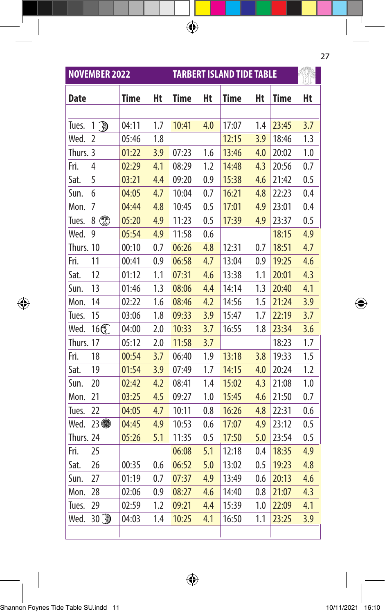|             | <b>NOVEMBER 2022</b> |             |     | <b>TARBERT ISLAND TIDE TABLE</b> |     |             |     |             |     |
|-------------|----------------------|-------------|-----|----------------------------------|-----|-------------|-----|-------------|-----|
| <b>Date</b> |                      | <b>Time</b> | Ht  | <b>Time</b>                      | Ht  | <b>Time</b> | Ht  | <b>Time</b> | Ht  |
|             |                      |             |     |                                  |     |             |     |             |     |
| Tues.       | 1<br>᠗               | 04:11       | 1.7 | 10:41                            | 4.0 | 17:07       | 1.4 | 23:45       | 3.7 |
| Wed.        | 2                    | 05:46       | 1.8 |                                  |     | 12:15       | 3.9 | 18:46       | 1.3 |
| Thurs. 3    |                      | 01:22       | 3.9 | 07:23                            | 1.6 | 13:46       | 4.0 | 20:02       | 1.0 |
| Fri.        | 4                    | 02:29       | 4.1 | 08:29                            | 1.2 | 14:48       | 4.3 | 20:56       | 0.7 |
| Sat.        | 5                    | 03:21       | 4.4 | 09:20                            | 0.9 | 15:38       | 4.6 | 21:42       | 0.5 |
| Sun.        | 6                    | 04:05       | 4.7 | 10:04                            | 0.7 | 16:21       | 4.8 | 22:23       | 0.4 |
| Mon.        | 7                    | 04:44       | 4.8 | 10:45                            | 0.5 | 17:01       | 4.9 | 23:01       | 0.4 |
| Tues.       | 8                    | 05:20       | 4.9 | 11:23                            | 0.5 | 17:39       | 4.9 | 23:37       | 0.5 |
| Wed.        | 9                    | 05:54       | 4.9 | 11:58                            | 0.6 |             |     | 18:15       | 4.9 |
| Thurs. 10   |                      | 00:10       | 0.7 | 06:26                            | 4.8 | 12:31       | 0.7 | 18:51       | 4.7 |
| Fri.        | 11                   | 00:41       | 0.9 | 06:58                            | 4.7 | 13:04       | 0.9 | 19:25       | 4.6 |
| Sat.        | 12                   | 01:12       | 1.1 | 07:31                            | 4.6 | 13:38       | 1.1 | 20:01       | 4.3 |
| Sun.        | 13                   | 01:46       | 1.3 | 08:06                            | 4.4 | 14:14       | 1.3 | 20:40       | 4.1 |
| Mon.        | 14                   | 02:22       | 1.6 | 08:46                            | 4.2 | 14:56       | 1.5 | 21:24       | 3.9 |
| Tues.       | 15                   | 03:06       | 1.8 | 09:33                            | 3.9 | 15:47       | 1.7 | 22:19       | 3.7 |
| Wed.        | 16 <sup>€</sup>      | 04:00       | 2.0 | 10:33                            | 3.7 | 16:55       | 1.8 | 23:34       | 3.6 |
| Thurs. 17   |                      | 05:12       | 2.0 | 11:58                            | 3.7 |             |     | 18:23       | 1.7 |
| Fri.        | 18                   | 00:54       | 3.7 | 06:40                            | 1.9 | 13:18       | 3.8 | 19:33       | 1.5 |
| Sat.        | 19                   | 01:54       | 3.9 | 07:49                            | 1.7 | 14:15       | 4.0 | 20:24       | 1.2 |
| Sun.        | 20                   | 02:42       | 4.2 | 08:41                            | 1.4 | 15:02       | 4.3 | 21:08       | 1.0 |
| Mon.        | 21                   | 03:25       | 4.5 | 09:27                            | 1.0 | 15:45       | 4.6 | 21:50       | 0.7 |
| Tues.       | 22                   | 04:05       | 4.7 | 10:11                            | 0.8 | 16:26       | 4.8 | 22:31       | 0.6 |
| Wed.        | $23$ to              | 04:45       | 4.9 | 10:53                            | 0.6 | 17:07       | 4.9 | 23:12       | 0.5 |
| Thurs. 24   |                      | 05:26       | 5.1 | 11:35                            | 0.5 | 17:50       | 5.0 | 23:54       | 0.5 |
| Fri.        | 25                   |             |     | 06:08                            | 5.1 | 12:18       | 0.4 | 18:35       | 4.9 |
| Sat.        | 26                   | 00:35       | 0.6 | 06:52                            | 5.0 | 13:02       | 0.5 | 19:23       | 4.8 |
| Sun.        | 27                   | 01:19       | 0.7 | 07:37                            | 4.9 | 13:49       | 0.6 | 20:13       | 4.6 |
| Mon.        | 28                   | 02:06       | 0.9 | 08:27                            | 4.6 | 14:40       | 0.8 | 21:07       | 4.3 |
| Tues.       | 29                   | 02:59       | 1.2 | 09:21                            | 4.4 | 15:39       | 1.0 | 22:09       | 4.1 |
| Wed.        | $30$ D               | 04:03       | 1.4 | 10:25                            | 4.1 | 16:50       | 1.1 | 23:25       | 3.9 |
|             |                      |             |     |                                  |     |             |     |             |     |

 $\bigoplus$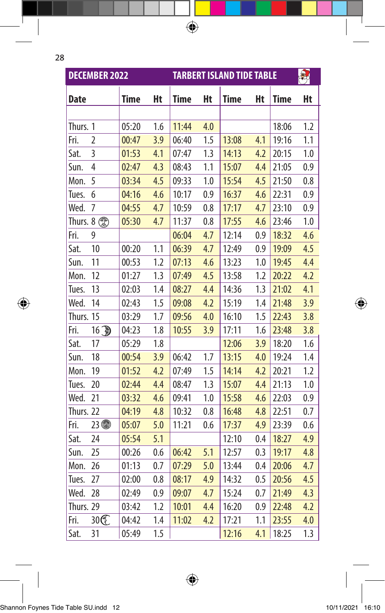$\bigoplus$ 

|              | <b>DECEMBER 2022</b> |             |     |       |     | <b>TARBERT ISLAND TIDE TABLE</b> |     |             | 县   |
|--------------|----------------------|-------------|-----|-------|-----|----------------------------------|-----|-------------|-----|
| Date         |                      | <b>Time</b> | Ht  | Time  | Ht  | <b>Time</b>                      | Ht  | <b>Time</b> | Ht  |
|              |                      |             |     |       |     |                                  |     |             |     |
| Thurs. 1     |                      | 05:20       | 1.6 | 11:44 | 4.0 |                                  |     | 18:06       | 1.2 |
| Fri.         | $\overline{2}$       | 00:47       | 3.9 | 06:40 | 1.5 | 13:08                            | 4.1 | 19:16       | 1.1 |
| Sat.         | 3                    | 01:53       | 4.1 | 07:47 | 1.3 | 14:13                            | 4.2 | 20:15       | 1.0 |
| Sun.         | 4                    | 02:47       | 4.3 | 08:43 | 1.1 | 15:07                            | 4.4 | 21:05       | 0.9 |
| Mon.         | 5                    | 03:34       | 4.5 | 09:33 | 1.0 | 15:54                            | 4.5 | 21:50       | 0.8 |
| Tues.        | 6                    | 04:16       | 4.6 | 10:17 | 0.9 | 16:37                            | 4.6 | 22:31       | 0.9 |
| Wed.         | 7                    | 04:55       | 4.7 | 10:59 | 0.8 | 17:17                            | 4.7 | 23:10       | 0.9 |
| Thurs. $8$ . |                      | 05:30       | 4.7 | 11:37 | 0.8 | 17:55                            | 4.6 | 23:46       | 1.0 |
| Fri.         | 9                    |             |     | 06:04 | 4.7 | 12:14                            | 0.9 | 18:32       | 4.6 |
| Sat.         | 10                   | 00:20       | 1.1 | 06:39 | 4.7 | 12:49                            | 0.9 | 19:09       | 4.5 |
| Sun.         | 11                   | 00:53       | 1.2 | 07:13 | 4.6 | 13:23                            | 1.0 | 19:45       | 4.4 |
| Mon.         | 12                   | 01:27       | 1.3 | 07:49 | 4.5 | 13:58                            | 1.2 | 20:22       | 4.2 |
| Tues.        | 13                   | 02:03       | 1.4 | 08:27 | 4.4 | 14:36                            | 1.3 | 21:02       | 4.1 |
| Wed.         | 14                   | 02:43       | 1.5 | 09:08 | 4.2 | 15:19                            | 1.4 | 21:48       | 3.9 |
| Thurs. 15    |                      | 03:29       | 1.7 | 09:56 | 4.0 | 16:10                            | 1.5 | 22:43       | 3.8 |
| Fri.         | 16                   | 04:23       | 1.8 | 10:55 | 3.9 | 17:11                            | 1.6 | 23:48       | 3.8 |
| Sat.         | 17                   | 05:29       | 1.8 |       |     | 12:06                            | 3.9 | 18:20       | 1.6 |
| Sun.         | 18                   | 00:54       | 3.9 | 06:42 | 1.7 | 13:15                            | 4.0 | 19:24       | 1.4 |
| Mon.         | 19                   | 01:52       | 4.2 | 07:49 | 1.5 | 14:14                            | 4.2 | 20:21       | 1.2 |
| Tues.        | 20                   | 02:44       | 4.4 | 08:47 | 1.3 | 15:07                            | 4.4 | 21:13       | 1.0 |
| Wed.         | 21                   | 03:32       | 4.6 | 09:41 | 1.0 | 15:58                            | 4.6 | 22:03       | 0.9 |
| Thurs. 22    |                      | 04:19       | 4.8 | 10:32 | 0.8 | 16:48                            | 4.8 | 22:51       | 0.7 |
| Fri.         | 23                   | 05:07       | 5.0 | 11:21 | 0.6 | 17:37                            | 4.9 | 23:39       | 0.6 |
| Sat.         | 24                   | 05:54       | 5.1 |       |     | 12:10                            | 0.4 | 18:27       | 4.9 |
| Sun.         | 25                   | 00:26       | 0.6 | 06:42 | 5.1 | 12:57                            | 0.3 | 19:17       | 4.8 |
| Mon.         | 26                   | 01:13       | 0.7 | 07:29 | 5.0 | 13:44                            | 0.4 | 20:06       | 4.7 |
| Tues.        | 27                   | 02:00       | 0.8 | 08:17 | 4.9 | 14:32                            | 0.5 | 20:56       | 4.5 |
| Wed.         | 28                   | 02:49       | 0.9 | 09:07 | 4.7 | 15:24                            | 0.7 | 21:49       | 4.3 |
| Thurs. 29    |                      | 03:42       | 1.2 | 10:01 | 4.4 | 16:20                            | 0.9 | 22:48       | 4.2 |
| Fri.         | 30C                  | 04:42       | 1.4 | 11:02 | 4.2 | 17:21                            | 1.1 | 23:55       | 4.0 |
| Sat.         | 31                   | 05:49       | 1.5 |       |     | 12:16                            | 4.1 | 18:25       | 1.3 |

 $\bigoplus$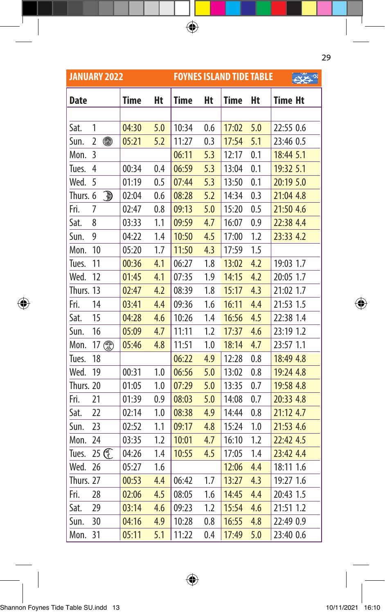|             | <b>JANUARY 2022</b> |             |     |             |     | <b>FOYNES ISLAND TIDE TABLE</b> |     |                |
|-------------|---------------------|-------------|-----|-------------|-----|---------------------------------|-----|----------------|
| <b>Date</b> |                     | <b>Time</b> | Ht  | <b>Time</b> | Ht  | <b>Time</b>                     | Ht  | <b>Time Ht</b> |
|             |                     |             |     |             |     |                                 |     |                |
| Sat.        | 1                   | 04:30       | 5.0 | 10:34       | 0.6 | 17:02                           | 5.0 | 22:55 0.6      |
| Sun.        | $\overline{2}$<br>● | 05:21       | 5.2 | 11:27       | 0.3 | 17:54                           | 5.1 | 23:46 0.5      |
| Mon.        | 3                   |             |     | 06:11       | 5.3 | 12:17                           | 0.1 | 18:44 5.1      |
| Tues.       | $\overline{4}$      | 00:34       | 0.4 | 06:59       | 5.3 | 13:04                           | 0.1 | 19:32 5.1      |
| Wed.        | 5                   | 01:19       | 0.5 | 07:44       | 5.3 | 13:50                           | 0.1 | 20:19 5.0      |
| Thurs. 6    | đ                   | 02:04       | 0.6 | 08:28       | 5.2 | 14:34                           | 0.3 | 21:04 4.8      |
| Fri.        | 7                   | 02:47       | 0.8 | 09:13       | 5.0 | 15:20                           | 0.5 | 21:50 4.6      |
| Sat.        | 8                   | 03:33       | 1.1 | 09:59       | 4.7 | 16:07                           | 0.9 | 22:38 4.4      |
| Sun.        | 9                   | 04:22       | 1.4 | 10:50       | 4.5 | 17:00                           | 1.2 | 23:33 4.2      |
| Mon.        | 10                  | 05:20       | 1.7 | 11:50       | 4.3 | 17:59                           | 1.5 |                |
| Tues.       | 11                  | 00:36       | 4.1 | 06:27       | 1.8 | 13:02                           | 4.2 | 19:03 1.7      |
| Wed.        | 12                  | 01:45       | 4.1 | 07:35       | 1.9 | 14:15                           | 4.2 | 20:05 1.7      |
| Thurs. 13   |                     | 02:47       | 4.2 | 08:39       | 1.8 | 15:17                           | 4.3 | 21:02 1.7      |
| Fri.        | 14                  | 03:41       | 4.4 | 09:36       | 1.6 | 16:11                           | 4.4 | 21:53 1.5      |
| Sat.        | 15                  | 04:28       | 4.6 | 10:26       | 1.4 | 16:56                           | 4.5 | 22:38 1.4      |
| Sun.        | 16                  | 05:09       | 4.7 | 11:11       | 1.2 | 17:37                           | 4.6 | 23:19 1.2      |
| Mon.        | 17 2                | 05:46       | 4.8 | 11:51       | 1.0 | 18:14                           | 4.7 | 23:57 1.1      |
| Tues.       | 18                  |             |     | 06:22       | 4.9 | 12:28                           | 0.8 | 18:49 4.8      |
| Wed.        | 19                  | 00:31       | 1.0 | 06:56       | 5.0 | 13:02                           | 0.8 | 19:24 4.8      |
| Thurs. 20   |                     | 01:05       | 1.0 | 07:29       | 5.0 | 13:35                           | 0.7 | 19:58 4.8      |
| Fri.        | 21                  | 01:39       | 0.9 | 08:03       | 5.0 | 14:08                           | 0.7 | 20:33 4.8      |
| Sat.        | 22                  | 02:14       | 1.0 | 08:38       | 4.9 | 14:44                           | 0.8 | 21:12 4.7      |
| Sun.        | 23                  | 02:52       | 1.1 | 09:17       | 4.8 | 15:24                           | 1.0 | 21:53 4.6      |
| Mon.        | 24                  | 03:35       | 1.2 | 10:01       | 4.7 | 16:10                           | 1.2 | 22:42 4.5      |
| Tues.       | 25 C                | 04:26       | 1.4 | 10:55       | 4.5 | 17:05                           | 1.4 | 23:42 4.4      |
| Wed.        | 26                  | 05:27       | 1.6 |             |     | 12:06                           | 4.4 | 18:11 1.6      |
| Thurs. 27   |                     | 00:53       | 4.4 | 06:42       | 1.7 | 13:27                           | 4.3 | 19:27 1.6      |
| Fri.        | 28                  | 02:06       | 4.5 | 08:05       | 1.6 | 14:45                           | 4.4 | 20:43 1.5      |
| Sat.        | 29                  | 03:14       | 4.6 | 09:23       | 1.2 | 15:54                           | 4.6 | 21:51 1.2      |
| Sun.        | 30                  | 04:16       | 4.9 | 10:28       | 0.8 | 16:55                           | 4.8 | 22:49 0.9      |
| Mon.        | 31                  | 05:11       | 5.1 | 11:22       | 0.4 | 17:49                           | 5.0 | 23:40 0.6      |

 $\bigoplus$ 

 $\bigoplus$ 

Shannon Foynes Tide Table SU.indd 13 10/11/2021 16:10I

 $\bigoplus$ 

29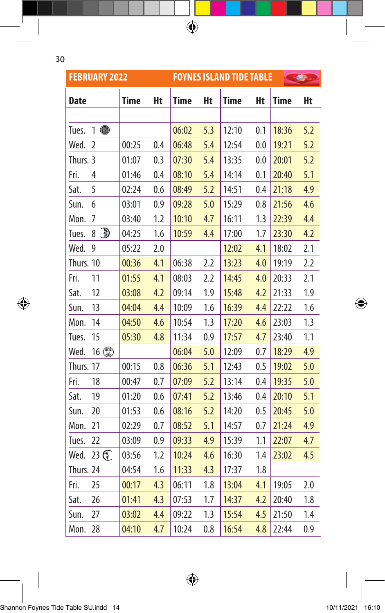$\bigoplus$ 

|             | <b>FEBRUARY 2022</b> |       |     | <b>FOYNES ISLAND TIDE TABLE</b> |     |             |     |             |     |
|-------------|----------------------|-------|-----|---------------------------------|-----|-------------|-----|-------------|-----|
| <b>Date</b> |                      | Time  | Ht  | Time                            | Ht  | <b>Time</b> | Ht  | <b>Time</b> | Ht  |
|             |                      |       |     |                                 |     |             |     |             |     |
| Tues.       | ●<br>1               |       |     | 06:02                           | 5.3 | 12:10       | 0.1 | 18:36       | 5.2 |
| Wed.        | 2                    | 00:25 | 0.4 | 06:48                           | 5.4 | 12:54       | 0.0 | 19:21       | 5.2 |
| Thurs. 3    |                      | 01:07 | 0.3 | 07:30                           | 5.4 | 13:35       | 0.0 | 20:01       | 5.2 |
| Fri.        | 4                    | 01:46 | 0.4 | 08:10                           | 5.4 | 14:14       | 0.1 | 20:40       | 5.1 |
| Sat.        | 5                    | 02:24 | 0.6 | 08:49                           | 5.2 | 14:51       | 0.4 | 21:18       | 4.9 |
| Sun.        | 6                    | 03:01 | 0.9 | 09:28                           | 5.0 | 15:29       | 0.8 | 21:56       | 4.6 |
| Mon.        | 7                    | 03:40 | 1.2 | 10:10                           | 4.7 | 16:11       | 1.3 | 22:39       | 4.4 |
| Tues.       | Ð<br>8               | 04:25 | 1.6 | 10:59                           | 4.4 | 17:00       | 1.7 | 23:30       | 4.2 |
| Wed.        | 9                    | 05:22 | 2.0 |                                 |     | 12:02       | 4.1 | 18:02       | 2.1 |
| Thurs. 10   |                      | 00:36 | 4.1 | 06:38                           | 2.2 | 13:23       | 4.0 | 19:19       | 2.2 |
| Fri.        | 11                   | 01:55 | 4.1 | 08:03                           | 2.2 | 14:45       | 4.0 | 20:33       | 2.1 |
| Sat.        | 12                   | 03:08 | 4.2 | 09:14                           | 1.9 | 15:48       | 4.2 | 21:33       | 1.9 |
| Sun.        | 13                   | 04:04 | 4.4 | 10:09                           | 1.6 | 16:39       | 4.4 | 22:22       | 1.6 |
| Mon.        | 14                   | 04:50 | 4.6 | 10:54                           | 1.3 | 17:20       | 4.6 | 23:03       | 1.3 |
| Tues.       | 15                   | 05:30 | 4.8 | 11:34                           | 0.9 | 17:57       | 4.7 | 23:40       | 1.1 |
| Wed.        | 16                   |       |     | 06:04                           | 5.0 | 12:09       | 0.7 | 18:29       | 4.9 |
| Thurs. 17   |                      | 00:15 | 0.8 | 06:36                           | 5.1 | 12:43       | 0.5 | 19:02       | 5.0 |
| Fri.        | 18                   | 00:47 | 0.7 | 07:09                           | 5.2 | 13:14       | 0.4 | 19:35       | 5.0 |
| Sat.        | 19                   | 01:20 | 0.6 | 07:41                           | 5.2 | 13:46       | 0.4 | 20:10       | 5.1 |
| Sun.        | 20                   | 01:53 | 0.6 | 08:16                           | 5.2 | 14:20       | 0.5 | 20:45       | 5.0 |
| Mon.        | 21                   | 02:29 | 0.7 | 08:52                           | 5.1 | 14:57       | 0.7 | 21:24       | 4.9 |
| Tues.       | 22                   | 03:09 | 0.9 | 09:33                           | 4.9 | 15:39       | 1.1 | 22:07       | 4.7 |
| Wed.        | 23 C                 | 03:56 | 1.2 | 10:24                           | 4.6 | 16:30       | 1.4 | 23:02       | 4.5 |
| Thurs. 24   |                      | 04:54 | 1.6 | 11:33                           | 4.3 | 17:37       | 1.8 |             |     |
| Fri.        | 25                   | 00:17 | 4.3 | 06:11                           | 1.8 | 13:04       | 4.1 | 19:05       | 2.0 |
| Sat.        | 26                   | 01:41 | 4.3 | 07:53                           | 1.7 | 14:37       | 4.2 | 20:40       | 1.8 |
| Sun.        | 27                   | 03:02 | 4.4 | 09:22                           | 1.3 | 15:54       | 4.5 | 21:50       | 1.4 |
| Mon.        | 28                   | 04:10 | 4.7 | 10:24                           | 0.8 | 16:54       | 4.8 | 22:44       | 0.9 |

 $\bigoplus$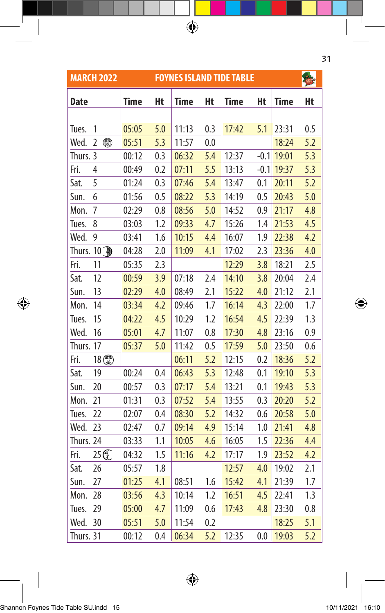|                   | <b>MARCH 2022</b>   |             | <b>FOYNES ISLAND TIDE TABLE</b> |             |     |             |         |       |     |  |  |
|-------------------|---------------------|-------------|---------------------------------|-------------|-----|-------------|---------|-------|-----|--|--|
| Date              |                     | <b>Time</b> | Ht                              | <b>Time</b> | Ht  | <b>Time</b> | Ht      | Time  | Ht  |  |  |
|                   |                     |             |                                 |             |     |             |         |       |     |  |  |
| Tues.             | 1                   | 05:05       | 5.0                             | 11:13       | 0.3 | 17:42       | 5.1     | 23:31 | 0.5 |  |  |
| Wed.              | ●<br>$\overline{2}$ | 05:51       | 5.3                             | 11:57       | 0.0 |             |         | 18:24 | 5.2 |  |  |
| Thurs. 3          |                     | 00:12       | 0.3                             | 06:32       | 5.4 | 12:37       | $-0.1$  | 19:01 | 5.3 |  |  |
| Fri.              | $\overline{4}$      | 00:49       | 0.2                             | 07:11       | 5.5 | 13:13       | $-0.1$  | 19:37 | 5.3 |  |  |
| Sat.              | 5                   | 01:24       | 0.3                             | 07:46       | 5.4 | 13:47       | 0.1     | 20:11 | 5.2 |  |  |
| Sun.              | 6                   | 01:56       | 0.5                             | 08:22       | 5.3 | 14:19       | 0.5     | 20:43 | 5.0 |  |  |
| Mon.              | 7                   | 02:29       | 0.8                             | 08:56       | 5.0 | 14:52       | 0.9     | 21:17 | 4.8 |  |  |
| Tues.             | 8                   | 03:03       | 1.2                             | 09:33       | 4.7 | 15:26       | 1.4     | 21:53 | 4.5 |  |  |
| Wed.              | 9                   | 03:41       | 1.6                             | 10:15       | 4.4 | 16:07       | 1.9     | 22:38 | 4.2 |  |  |
| Thurs. 10 <a></a> |                     | 04:28       | 2.0                             | 11:09       | 4.1 | 17:02       | 2.3     | 23:36 | 4.0 |  |  |
| Fri.              | 11                  | 05:35       | 2.3                             |             |     | 12:29       | 3.8     | 18:21 | 2.5 |  |  |
| Sat.              | 12                  | 00:59       | 3.9                             | 07:18       | 2.4 | 14:10       | 3.8     | 20:04 | 2.4 |  |  |
| Sun.              | 13                  | 02:29       | 4.0                             | 08:49       | 2.1 | 15:22       | 4.0     | 21:12 | 2.1 |  |  |
| Mon.              | 14                  | 03:34       | 4.2                             | 09:46       | 1.7 | 16:14       | 4.3     | 22:00 | 1.7 |  |  |
| Tues.             | 15                  | 04:22       | 4.5                             | 10:29       | 1.2 | 16:54       | 4.5     | 22:39 | 1.3 |  |  |
| Wed.              | 16                  | 05:01       | 4.7                             | 11:07       | 0.8 | 17:30       | 4.8     | 23:16 | 0.9 |  |  |
| Thurs. 17         |                     | 05:37       | 5.0                             | 11:42       | 0.5 | 17:59       | 5.0     | 23:50 | 0.6 |  |  |
| Fri.              | 18                  |             |                                 | 06:11       | 5.2 | 12:15       | 0.2     | 18:36 | 5.2 |  |  |
| Sat.              | 19                  | 00:24       | 0.4                             | 06:43       | 5.3 | 12:48       | 0.1     | 19:10 | 5.3 |  |  |
| Sun.              | 20                  | 00:57       | 0.3                             | 07:17       | 5.4 | 13:21       | 0.1     | 19:43 | 5.3 |  |  |
| Mon.              | 21                  | 01:31       | 0.3                             | 07:52       | 5.4 | 13:55       | 0.3     | 20:20 | 5.2 |  |  |
| Tues.             | 22                  | 02:07       | 0.4                             | 08:30       | 5.2 | 14:32       | 0.6     | 20:58 | 5.0 |  |  |
| Wed.              | 23                  | 02:47       | 0.7                             | 09:14       | 4.9 | 15:14       | 1.0     | 21:41 | 4.8 |  |  |
| Thurs. 24         |                     | 03:33       | 1.1                             | 10:05       | 4.6 | 16:05       | 1.5     | 22:36 | 4.4 |  |  |
| Fri.              | 25 C                | 04:32       | 1.5                             | 11:16       | 4.2 | 17:17       | 1.9     | 23:52 | 4.2 |  |  |
| Sat.              | 26                  | 05:57       | 1.8                             |             |     | 12:57       | 4.0     | 19:02 | 2.1 |  |  |
| Sun.              | 27                  | 01:25       | 4.1                             | 08:51       | 1.6 | 15:42       | 4.1     | 21:39 | 1.7 |  |  |
| Mon.              | 28                  | 03:56       | 4.3                             | 10:14       | 1.2 | 16:51       | 4.5     | 22:41 | 1.3 |  |  |
| Tues.             | 29                  | 05:00       | 4.7                             | 11:09       | 0.6 | 17:43       | 4.8     | 23:30 | 0.8 |  |  |
| Wed.              | 30                  | 05:51       | 5.0                             | 11:54       | 0.2 |             |         | 18:25 | 5.1 |  |  |
| Thurs. 31         |                     | 00:12       | 0.4                             | 06:34       | 5.2 | 12:35       | $0.0\,$ | 19:03 | 5.2 |  |  |

 $\bigoplus$ 

31

 $\bigoplus$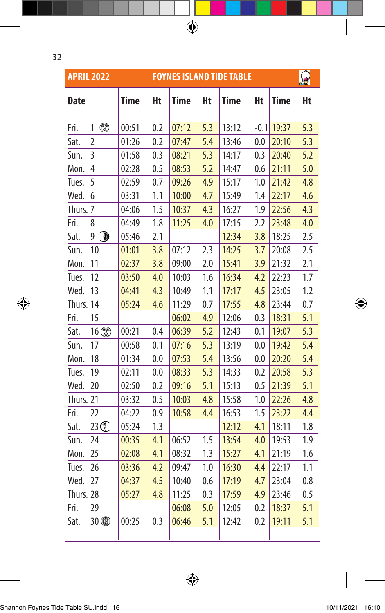| ٦<br>Ξ  |   |
|---------|---|
|         | ٧ |
| ł<br>۰, |   |

 $\overline{\phantom{a}}$ 

 $\bigoplus$ 

|             | <b>APRIL 2022</b>            |             |     |             |     | <b>FOYNES ISLAND TIDE TABLE</b> |        |             |     |
|-------------|------------------------------|-------------|-----|-------------|-----|---------------------------------|--------|-------------|-----|
| <b>Date</b> |                              | <b>Time</b> | Ht  | <b>Time</b> | Ht  | <b>Time</b>                     | Ht     | <b>Time</b> | Ht  |
|             |                              |             |     |             |     |                                 |        |             |     |
| Fri.        | ●<br>1                       | 00:51       | 0.2 | 07:12       | 5.3 | 13:12                           | $-0.1$ | 19:37       | 5.3 |
| Sat.        | $\overline{2}$               | 01:26       | 0.2 | 07:47       | 5.4 | 13:46                           | 0.0    | 20:10       | 5.3 |
| Sun.        | 3                            | 01:58       | 0.3 | 08:21       | 5.3 | 14:17                           | 0.3    | 20:40       | 5.2 |
| Mon.        | 4                            | 02:28       | 0.5 | 08:53       | 5.2 | 14:47                           | 0.6    | 21:11       | 5.0 |
| Tues.       | 5                            | 02:59       | 0.7 | 09:26       | 4.9 | 15:17                           | 1.0    | 21:42       | 4.8 |
| Wed.        | 6                            | 03:31       | 1.1 | 10:00       | 4.7 | 15:49                           | 1.4    | 22:17       | 4.6 |
| Thurs. 7    |                              | 04:06       | 1.5 | 10:37       | 4.3 | 16:27                           | 1.9    | 22:56       | 4.3 |
| Fri.        | 8                            | 04:49       | 1.8 | 11:25       | 4.0 | 17:15                           | 2.2    | 23:48       | 4.0 |
| Sat.        | $\overline{\mathbb{D}}$<br>9 | 05:46       | 2.1 |             |     | 12:34                           | 3.8    | 18:25       | 2.5 |
| Sun.        | 10                           | 01:01       | 3.8 | 07:12       | 2.3 | 14:25                           | 3.7    | 20:08       | 2.5 |
| Mon.        | 11                           | 02:37       | 3.8 | 09:00       | 2.0 | 15:41                           | 3.9    | 21:32       | 2.1 |
| Tues.       | 12                           | 03:50       | 4.0 | 10:03       | 1.6 | 16:34                           | 4.2    | 22:23       | 1.7 |
| Wed.        | 13                           | 04:41       | 4.3 | 10:49       | 1.1 | 17:17                           | 4.5    | 23:05       | 1.2 |
| Thurs. 14   |                              | 05:24       | 4.6 | 11:29       | 0.7 | 17:55                           | 4.8    | 23:44       | 0.7 |
| Fri.        | 15                           |             |     | 06:02       | 4.9 | 12:06                           | 0.3    | 18:31       | 5.1 |
| Sat.        | 16 2                         | 00:21       | 0.4 | 06:39       | 5.2 | 12:43                           | 0.1    | 19:07       | 5.3 |
| Sun.        | 17                           | 00:58       | 0.1 | 07:16       | 5.3 | 13:19                           | 0.0    | 19:42       | 5.4 |
| Mon.        | 18                           | 01:34       | 0.0 | 07:53       | 5.4 | 13:56                           | 0.0    | 20:20       | 5.4 |
| Tues.       | 19                           | 02:11       | 0.0 | 08:33       | 5.3 | 14:33                           | 0.2    | 20:58       | 5.3 |
| Wed.        | 20                           | 02:50       | 0.2 | 09:16       | 5.1 | 15:13                           | 0.5    | 21:39       | 5.1 |
| Thurs. 21   |                              | 03:32       | 0.5 | 10:03       | 4.8 | 15:58                           | 1.0    | 22:26       | 4.8 |
| Fri.        | 22                           | 04:22       | 0.9 | 10:58       | 4.4 | 16:53                           | 1.5    | 23:22       | 4.4 |
| Sat.        | 23 <sup>2</sup>              | 05:24       | 1.3 |             |     | 12:12                           | 4.1    | 18:11       | 1.8 |
| Sun.        | 24                           | 00:35       | 4.1 | 06:52       | 1.5 | 13:54                           | 4.0    | 19:53       | 1.9 |
| Mon.        | 25                           | 02:08       | 4.1 | 08:32       | 1.3 | 15:27                           | 4.1    | 21:19       | 1.6 |
| Tues.       | 26                           | 03:36       | 4.2 | 09:47       | 1.0 | 16:30                           | 4.4    | 22:17       | 1.1 |
| Wed.        | 27                           | 04:37       | 4.5 | 10:40       | 0.6 | 17:19                           | 4.7    | 23:04       | 0.8 |
| Thurs. 28   |                              | 05:27       | 4.8 | 11:25       | 0.3 | 17:59                           | 4.9    | 23:46       | 0.5 |
| Fri.        | 29                           |             |     | 06:08       | 5.0 | 12:05                           | 0.2    | 18:37       | 5.1 |
| Sat.        | 30 4                         | 00:25       | 0.3 | 06:46       | 5.1 | 12:42                           | 0.2    | 19:11       | 5.1 |
|             |                              |             |     |             |     |                                 |        |             |     |

 $\bigoplus$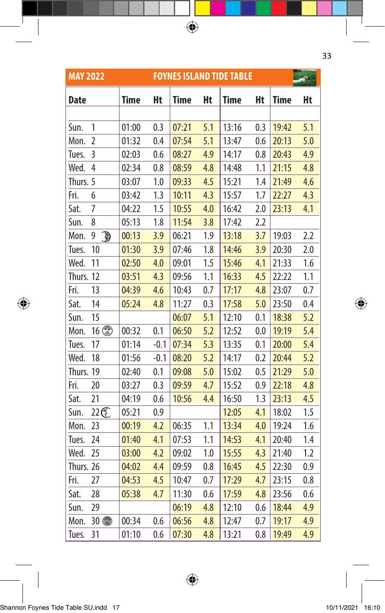| <b>MAY 2022</b> |                   |             | <b>FOYNES ISLAND TIDE TABLE</b> |             |     |             |     |             |     |  |
|-----------------|-------------------|-------------|---------------------------------|-------------|-----|-------------|-----|-------------|-----|--|
| Date            |                   | <b>Time</b> | Ht                              | <b>Time</b> | Ht  | <b>Time</b> | Ht  | <b>Time</b> | Ht  |  |
|                 |                   |             |                                 |             |     |             |     |             |     |  |
| Sun.            | 1                 | 01:00       | 0.3                             | 07:21       | 5.1 | 13:16       | 0.3 | 19:42       | 5.1 |  |
| Mon.            | $\overline{2}$    | 01:32       | 0.4                             | 07:54       | 5.1 | 13:47       | 0.6 | 20:13       | 5.0 |  |
| Tues.           | 3                 | 02:03       | 0.6                             | 08:27       | 4.9 | 14:17       | 0.8 | 20:43       | 4.9 |  |
| Wed.            | $\overline{4}$    | 02:34       | 0.8                             | 08:59       | 4.8 | 14:48       | 1.1 | 21:15       | 4.8 |  |
| Thurs. 5        |                   | 03:07       | 1.0                             | 09:33       | 4.5 | 15:21       | 1.4 | 21:49       | 4.6 |  |
| Fri.            | 6                 | 03:42       | 1.3                             | 10:11       | 4.3 | 15:57       | 1.7 | 22:27       | 4.3 |  |
| Sat.            | 7                 | 04:22       | 1.5                             | 10:55       | 4.0 | 16:42       | 2.0 | 23:13       | 4.1 |  |
| Sun.            | 8                 | 05:13       | 1.8                             | 11:54       | 3.8 | 17:42       | 2.2 |             |     |  |
| Mon.            | $\mathbb{D}$<br>9 | 00:13       | 3.9                             | 06:21       | 1.9 | 13:18       | 3.7 | 19:03       | 2.2 |  |
| Tues.           | 10                | 01:30       | 3.9                             | 07:46       | 1.8 | 14:46       | 3.9 | 20:30       | 2.0 |  |
| Wed.            | 11                | 02:50       | 4.0                             | 09:01       | 1.5 | 15:46       | 4.1 | 21:33       | 1.6 |  |
| Thurs. 12       |                   | 03:51       | 4.3                             | 09:56       | 1.1 | 16:33       | 4.5 | 22:22       | 1.1 |  |
| Fri.            | 13                | 04:39       | 4.6                             | 10:43       | 0.7 | 17:17       | 4.8 | 23:07       | 0.7 |  |
| Sat.            | 14                | 05:24       | 4.8                             | 11:27       | 0.3 | 17:58       | 5.0 | 23:50       | 0.4 |  |
| Sun.            | 15                |             |                                 | 06:07       | 5.1 | 12:10       | 0.1 | 18:38       | 5.2 |  |
| Mon.            | 16                | 00:32       | 0.1                             | 06:50       | 5.2 | 12:52       | 0.0 | 19:19       | 5.4 |  |
| Tues.           | 17                | 01:14       | $-0.1$                          | 07:34       | 5.3 | 13:35       | 0.1 | 20:00       | 5.4 |  |
| Wed.            | 18                | 01:56       | $-0.1$                          | 08:20       | 5.2 | 14:17       | 0.2 | 20:44       | 5.2 |  |
| Thurs. 19       |                   | 02:40       | 0.1                             | 09:08       | 5.0 | 15:02       | 0.5 | 21:29       | 5.0 |  |
| Fri.            | 20                | 03:27       | 0.3                             | 09:59       | 4.7 | 15:52       | 0.9 | 22:18       | 4.8 |  |
| Sat.            | 21                | 04:19       | 0.6                             | 10:56       | 4.4 | 16:50       | 1.3 | 23:13       | 4.5 |  |
| Sun.            | 22C               | 05:21       | 0.9                             |             |     | 12:05       | 4.1 | 18:02       | 1.5 |  |
| Mon.            | 23                | 00:19       | 4.2                             | 06:35       | 1.1 | 13:34       | 4.0 | 19:24       | 1.6 |  |
| Tues.           | 24                | 01:40       | 4.1                             | 07:53       | 1.1 | 14:53       | 4.1 | 20:40       | 1.4 |  |
| Wed.            | 25                | 03:00       | 4.2                             | 09:02       | 1.0 | 15:55       | 4.3 | 21:40       | 1.2 |  |
| Thurs. 26       |                   | 04:02       | 4.4                             | 09:59       | 0.8 | 16:45       | 4.5 | 22:30       | 0.9 |  |
| Fri.            | 27                | 04:53       | 4.5                             | 10:47       | 0.7 | 17:29       | 4.7 | 23:15       | 0.8 |  |
| Sat.            | 28                | 05:38       | 4.7                             | 11:30       | 0.6 | 17:59       | 4.8 | 23:56       | 0.6 |  |
| Sun.            | 29                |             |                                 | 06:19       | 4.8 | 12:10       | 0.6 | 18:44       | 4.9 |  |
| Mon.            | 30 4              | 00:34       | 0.6                             | 06:56       | 4.8 | 12:47       | 0.7 | 19:17       | 4.9 |  |
| Tues.           | 31                | 01:10       | 0.6                             | 07:30       | 4.8 | 13:21       | 0.8 | 19:49       | 4.9 |  |

33

I

 $\bigoplus$ 

 $\bigoplus$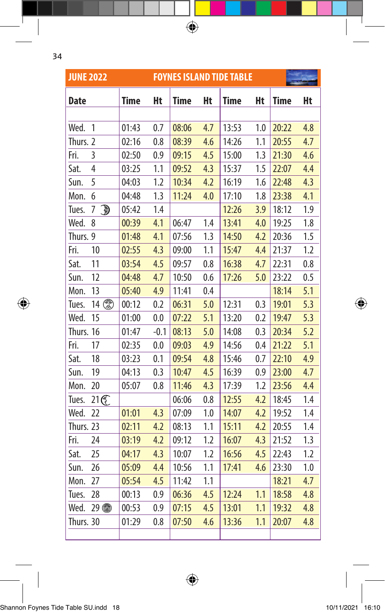| ×       |  |
|---------|--|
| ۰.<br>٧ |  |

 $\overline{\phantom{a}}$ 

 $\bigoplus$ 

| <b>JUNE 2022</b> |                              |             |        |             |     | <b>FOYNES ISLAND TIDE TABLE</b> |     |             |     |
|------------------|------------------------------|-------------|--------|-------------|-----|---------------------------------|-----|-------------|-----|
| <b>Date</b>      |                              | <b>Time</b> | Ht     | <b>Time</b> | Ht  | <b>Time</b>                     | Ht  | <b>Time</b> | Ht  |
|                  |                              |             |        |             |     |                                 |     |             |     |
| Wed.             | 1                            | 01:43       | 0.7    | 08:06       | 4.7 | 13:53                           | 1.0 | 20:22       | 4.8 |
| Thurs. 2         |                              | 02:16       | 0.8    | 08:39       | 4.6 | 14:26                           | 1.1 | 20:55       | 4.7 |
| Fri.             | 3                            | 02:50       | 0.9    | 09:15       | 4.5 | 15:00                           | 1.3 | 21:30       | 4.6 |
| Sat.             | 4                            | 03:25       | 1.1    | 09:52       | 4.3 | 15:37                           | 1.5 | 22:07       | 4.4 |
| Sun.             | 5                            | 04:03       | 1.2    | 10:34       | 4.2 | 16:19                           | 1.6 | 22:48       | 4.3 |
| Mon.             | 6                            | 04:48       | 1.3    | 11:24       | 4.0 | 17:10                           | 1.8 | 23:38       | 4.1 |
| Tues.            | $\overline{\mathbb{D}}$<br>7 | 05:42       | 1.4    |             |     | 12:26                           | 3.9 | 18:12       | 1.9 |
| Wed.             | 8                            | 00:39       | 4.1    | 06:47       | 1.4 | 13:41                           | 4.0 | 19:25       | 1.8 |
| Thurs. 9         |                              | 01:48       | 4.1    | 07:56       | 1.3 | 14:50                           | 4.2 | 20:36       | 1.5 |
| Fri.             | 10                           | 02:55       | 4.3    | 09:00       | 1.1 | 15:47                           | 4.4 | 21:37       | 1.2 |
| Sat.             | 11                           | 03:54       | 4.5    | 09:57       | 0.8 | 16:38                           | 4.7 | 22:31       | 0.8 |
| Sun.             | 12                           | 04:48       | 4.7    | 10:50       | 0.6 | 17:26                           | 5.0 | 23:22       | 0.5 |
| Mon.             | 13                           | 05:40       | 4.9    | 11:41       | 0.4 |                                 |     | 18:14       | 5.1 |
| Tues.            | 14                           | 00:12       | 0.2    | 06:31       | 5.0 | 12:31                           | 0.3 | 19:01       | 5.3 |
| Wed.             | 15                           | 01:00       | 0.0    | 07:22       | 5.1 | 13:20                           | 0.2 | 19:47       | 5.3 |
| Thurs. 16        |                              | 01:47       | $-0.1$ | 08:13       | 5.0 | 14:08                           | 0.3 | 20:34       | 5.2 |
| Fri.             | 17                           | 02:35       | 0.0    | 09:03       | 4.9 | 14:56                           | 0.4 | 21:22       | 5.1 |
| Sat.             | 18                           | 03:23       | 0.1    | 09:54       | 4.8 | 15:46                           | 0.7 | 22:10       | 4.9 |
| Sun.             | 19                           | 04:13       | 0.3    | 10:47       | 4.5 | 16:39                           | 0.9 | 23:00       | 4.7 |
| Mon.             | 20                           | 05:07       | 0.8    | 11:46       | 4.3 | 17:39                           | 1.2 | 23:56       | 4.4 |
| Tues.            | 21                           |             |        | 06:06       | 0.8 | 12:55                           | 4.2 | 18:45       | 1.4 |
| Wed.             | 22                           | 01:01       | 4.3    | 07:09       | 1.0 | 14:07                           | 4.2 | 19:52       | 1.4 |
| Thurs. 23        |                              | 02:11       | 4.2    | 08:13       | 1.1 | 15:11                           | 4.2 | 20:55       | 1.4 |
| Fri.             | 24                           | 03:19       | 4.2    | 09:12       | 1.2 | 16:07                           | 4.3 | 21:52       | 1.3 |
| Sat.             | 25                           | 04:17       | 4.3    | 10:07       | 1.2 | 16:56                           | 4.5 | 22:43       | 1.2 |
| Sun.             | 26                           | 05:09       | 4.4    | 10:56       | 1.1 | 17:41                           | 4.6 | 23:30       | 1.0 |
| Mon.             | 27                           | 05:54       | 4.5    | 11:42       | 1.1 |                                 |     | 18:21       | 4.7 |
| Tues.            | 28                           | 00:13       | 0.9    | 06:36       | 4.5 | 12:24                           | 1.1 | 18:58       | 4.8 |
| Wed.             | 29 4                         | 00:53       | 0.9    | 07:15       | 4.5 | 13:01                           | 1.1 | 19:32       | 4.8 |
| Thurs. 30        |                              | 01:29       | 0.8    | 07:50       | 4.6 | 13:36                           | 1.1 | 20:07       | 4.8 |
|                  |                              |             |        |             |     |                                 |     |             |     |

 $\bigoplus$ 

 $\bigoplus$ 

 $\bigoplus$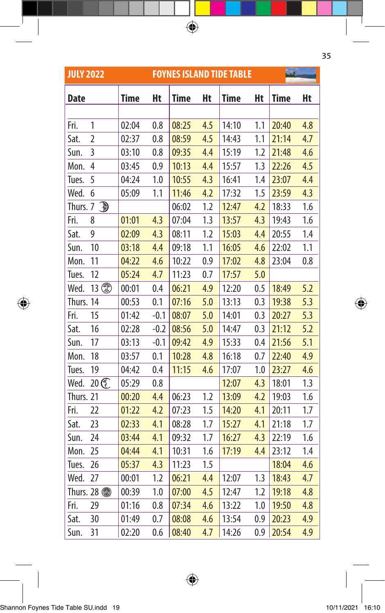| <b>JULY 2022</b> |                |             |        |             |     | <b>FOYNES ISLAND TIDE TABLE</b> |         |             |     |  |
|------------------|----------------|-------------|--------|-------------|-----|---------------------------------|---------|-------------|-----|--|
| <b>Date</b>      |                | <b>Time</b> | Ht     | <b>Time</b> | Ht  | Time                            | Ht      | <b>Time</b> | Ht  |  |
|                  |                |             |        |             |     |                                 |         |             |     |  |
| Fri.             | 1              | 02:04       | 0.8    | 08:25       | 4.5 | 14:10                           | 1.1     | 20:40       | 4.8 |  |
| Sat.             | $\overline{2}$ | 02:37       | 0.8    | 08:59       | 4.5 | 14:43                           | 1.1     | 21:14       | 4.7 |  |
| Sun.             | 3              | 03:10       | 0.8    | 09:35       | 4.4 | 15:19                           | 1.2     | 21:48       | 4.6 |  |
| Mon.             | $\overline{4}$ | 03:45       | 0.9    | 10:13       | 4.4 | 15:57                           | 1.3     | 22:26       | 4.5 |  |
| Tues.            | 5              | 04:24       | 1.0    | 10:55       | 4.3 | 16:41                           | 1.4     | 23:07       | 4.4 |  |
| Wed.             | 6              | 05:09       | 1.1    | 11:46       | 4.2 | 17:32                           | 1.5     | 23:59       | 4.3 |  |
| Thurs. 7         | $\mathbb{D}$   |             |        | 06:02       | 1.2 | 12:47                           | 4.2     | 18:33       | 1.6 |  |
| Fri.             | 8              | 01:01       | 4.3    | 07:04       | 1.3 | 13:57                           | 4.3     | 19:43       | 1.6 |  |
| Sat.             | 9              | 02:09       | 4.3    | 08:11       | 1.2 | 15:03                           | 4.4     | 20:55       | 1.4 |  |
| Sun.             | 10             | 03:18       | 4.4    | 09:18       | 1.1 | 16:05                           | 4.6     | 22:02       | 1.1 |  |
| Mon.             | 11             | 04:22       | 4.6    | 10:22       | 0.9 | 17:02                           | 4.8     | 23:04       | 0.8 |  |
| Tues.            | 12             | 05:24       | 4.7    | 11:23       | 0.7 | 17:57                           | 5.0     |             |     |  |
| Wed.             |                | 00:01       | 0.4    | 06:21       | 4.9 | 12:20                           | $0.5\,$ | 18:49       | 5.2 |  |
| Thurs. 14        |                | 00:53       | 0.1    | 07:16       | 5.0 | 13:13                           | 0.3     | 19:38       | 5.3 |  |
| Fri.             | 15             | 01:42       | $-0.1$ | 08:07       | 5.0 | 14:01                           | 0.3     | 20:27       | 5.3 |  |
| Sat.             | 16             | 02:28       | $-0.2$ | 08:56       | 5.0 | 14:47                           | 0.3     | 21:12       | 5.2 |  |
| Sun.             | 17             | 03:13       | $-0.1$ | 09:42       | 4.9 | 15:33                           | 0.4     | 21:56       | 5.1 |  |
| Mon.             | 18             | 03:57       | 0.1    | 10:28       | 4.8 | 16:18                           | 0.7     | 22:40       | 4.9 |  |
| Tues.            | 19             | 04:42       | 0.4    | 11:15       | 4.6 | 17:07                           | 1.0     | 23:27       | 4.6 |  |
| Wed.             | 20 C           | 05:29       | 0.8    |             |     | 12:07                           | 4.3     | 18:01       | 1.3 |  |
| Thurs. 21        |                | 00:20       | 4.4    | 06:23       | 1.2 | 13:09                           | 4.2     | 19:03       | 1.6 |  |
| Fri.             | 22             | 01:22       | 4.2    | 07:23       | 1.5 | 14:20                           | 4.1     | 20:11       | 1.7 |  |
| Sat.             | 23             | 02:33       | 4.1    | 08:28       | 1.7 | 15:27                           | 4.1     | 21:18       | 1.7 |  |
| Sun.             | 24             | 03:44       | 4.1    | 09:32       | 1.7 | 16:27                           | 4.3     | 22:19       | 1.6 |  |
| Mon.             | 25             | 04:44       | 4.1    | 10:31       | 1.6 | 17:19                           | 4.4     | 23:12       | 1.4 |  |
| Tues.            | 26             | 05:37       | 4.3    | 11:23       | 1.5 |                                 |         | 18:04       | 4.6 |  |
| Wed.             | 27             | 00:01       | 1.2    | 06:21       | 4.4 | 12:07                           | 1.3     | 18:43       | 4.7 |  |
|                  | Thurs. 28 ®    | 00:39       | 1.0    | 07:00       | 4.5 | 12:47                           | 1.2     | 19:18       | 4.8 |  |
| Fri.             | 29             | 01:16       | 0.8    | 07:34       | 4.6 | 13:22                           | 1.0     | 19:50       | 4.8 |  |
| Sat.             | 30             | 01:49       | 0.7    | 08:08       | 4.6 | 13:54                           | 0.9     | 20:23       | 4.9 |  |
| Sun.             | 31             | 02:20       | 0.6    | 08:40       | 4.7 | 14:26                           | 0.9     | 20:54       | 4.9 |  |

 $\bigoplus$ 

35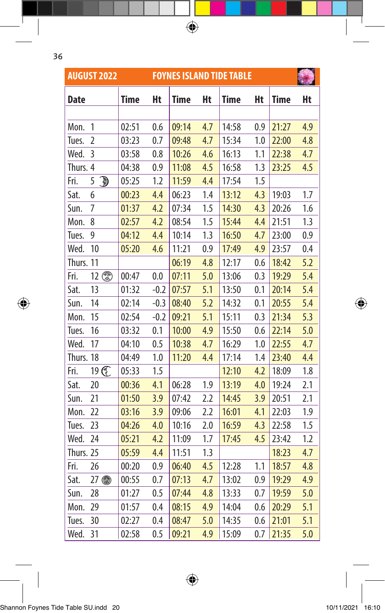|             | <b>AUGUST 2022</b> |       |        |             |     | <b>FOYNES ISLAND TIDE TABLE</b> |     |             |     |
|-------------|--------------------|-------|--------|-------------|-----|---------------------------------|-----|-------------|-----|
| <b>Date</b> |                    | Time  | Ht     | <b>Time</b> | Ht  | <b>Time</b>                     | Ht  | <b>Time</b> | Ht  |
|             |                    |       |        |             |     |                                 |     |             |     |
| Mon.        | 1                  | 02:51 | 0.6    | 09:14       | 4.7 | 14:58                           | 0.9 | 21:27       | 4.9 |
| Tues.       | 2                  | 03:23 | 0.7    | 09:48       | 4.7 | 15:34                           | 1.0 | 22:00       | 4.8 |
| Wed.        | 3                  | 03:58 | 0.8    | 10:26       | 4.6 | 16:13                           | 1.1 | 22:38       | 4.7 |
| Thurs. 4    |                    | 04:38 | 0.9    | 11:08       | 4.5 | 16:58                           | 1.3 | 23:25       | 4.5 |
| Fri.        | đ<br>5             | 05:25 | 1.2    | 11:59       | 4.4 | 17:54                           | 1.5 |             |     |
| Sat.        | 6                  | 00:23 | 4.4    | 06:23       | 1.4 | 13:12                           | 4.3 | 19:03       | 1.7 |
| Sun.        | 7                  | 01:37 | 4.2    | 07:34       | 1.5 | 14:30                           | 4.3 | 20:26       | 1.6 |
| Mon.        | 8                  | 02:57 | 4.2    | 08:54       | 1.5 | 15:44                           | 4.4 | 21:51       | 1.3 |
| Tues.       | 9                  | 04:12 | 4.4    | 10:14       | 1.3 | 16:50                           | 4.7 | 23:00       | 0.9 |
| Wed.        | 10                 | 05:20 | 4.6    | 11:21       | 0.9 | 17:49                           | 4.9 | 23:57       | 0.4 |
| Thurs. 11   |                    |       |        | 06:19       | 4.8 | 12:17                           | 0.6 | 18:42       | 5.2 |
| Fri.        | 12                 | 00:47 | 0.0    | 07:11       | 5.0 | 13:06                           | 0.3 | 19:29       | 5.4 |
| Sat.        | 13                 | 01:32 | $-0.2$ | 07:57       | 5.1 | 13:50                           | 0.1 | 20:14       | 5.4 |
| Sun.        | 14                 | 02:14 | $-0.3$ | 08:40       | 5.2 | 14:32                           | 0.1 | 20:55       | 5.4 |
| Mon.        | 15                 | 02:54 | $-0.2$ | 09:21       | 5.1 | 15:11                           | 0.3 | 21:34       | 5.3 |
| Tues.       | 16                 | 03:32 | 0.1    | 10:00       | 4.9 | 15:50                           | 0.6 | 22:14       | 5.0 |
| Wed.        | 17                 | 04:10 | 0.5    | 10:38       | 4.7 | 16:29                           | 1.0 | 22:55       | 4.7 |
| Thurs. 18   |                    | 04:49 | 1.0    | 11:20       | 4.4 | 17:14                           | 1.4 | 23:40       | 4.4 |
| Fri.        | 19 C               | 05:33 | 1.5    |             |     | 12:10                           | 4.2 | 18:09       | 1.8 |
| Sat.        | 20                 | 00:36 | 4.1    | 06:28       | 1.9 | 13:19                           | 4.0 | 19:24       | 2.1 |
| Sun.        | 21                 | 01:50 | 3.9    | 07:42       | 2.2 | 14:45                           | 3.9 | 20:51       | 2.1 |
| Mon.        | 22                 | 03:16 | 3.9    | 09:06       | 2.2 | 16:01                           | 4.1 | 22:03       | 1.9 |
| Tues.       | 23                 | 04:26 | 4.0    | 10:16       | 2.0 | 16:59                           | 4.3 | 22:58       | 1.5 |
| Wed.        | 24                 | 05:21 | 4.2    | 11:09       | 1.7 | 17:45                           | 4.5 | 23:42       | 1.2 |
| Thurs. 25   |                    | 05:59 | 4.4    | 11:51       | 1.3 |                                 |     | 18:23       | 4.7 |
| Fri.        | 26                 | 00:20 | 0.9    | 06:40       | 4.5 | 12:28                           | 1.1 | 18:57       | 4.8 |
| Sat.        | 27<br>●            | 00:55 | 0.7    | 07:13       | 4.7 | 13:02                           | 0.9 | 19:29       | 4.9 |
| Sun.        | 28                 | 01:27 | 0.5    | 07:44       | 4.8 | 13:33                           | 0.7 | 19:59       | 5.0 |



Shannon Foynes Tide Table SU.indd 20 10/11/2021 16:10

 $\bigoplus$ 

Mon. 29 01:57 0.4 08:15 4.9 14:04 0.6 20:29 5.1 Tues. 30 02:27 0.4 08:47 5.0 14:35 0.6 21:01 5.1 Wed. 31 | 02:58 0.5 <mark>| 09:21 4.9 |</mark> 15:09 0.7 <mark>| 21:35 5.0</mark>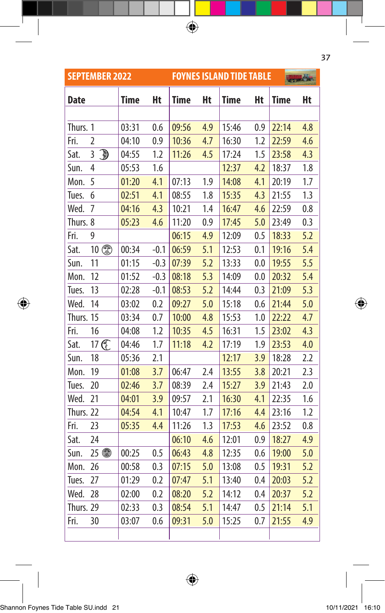|             | <b>SEPTEMBER 2022</b>                     |       |        |             |     | <b>FOYNES ISLAND TIDE TABLE</b> |     |             | <b>FOR OLD</b> |
|-------------|-------------------------------------------|-------|--------|-------------|-----|---------------------------------|-----|-------------|----------------|
| <b>Date</b> |                                           | Time  | Ht     | <b>Time</b> | Ht  | <b>Time</b>                     | Ht  | <b>Time</b> | Ht             |
|             |                                           |       |        |             |     |                                 |     |             |                |
| Thurs. 1    |                                           | 03:31 | 0.6    | 09:56       | 4.9 | 15:46                           | 0.9 | 22:14       | 4.8            |
| Fri.        | $\overline{2}$                            | 04:10 | 0.9    | 10:36       | 4.7 | 16:30                           | 1.2 | 22:59       | 4.6            |
| Sat.        | $\overline{\mathbb{D}}$<br>$\overline{3}$ | 04:55 | 1.2    | 11:26       | 4.5 | 17:24                           | 1.5 | 23:58       | 4.3            |
| Sun.        | 4                                         | 05:53 | 1.6    |             |     | 12:37                           | 4.2 | 18:37       | $1.8\,$        |
| Mon.        | 5                                         | 01:20 | 4.1    | 07:13       | 1.9 | 14:08                           | 4.1 | 20:19       | 1.7            |
| Tues.       | 6                                         | 02:51 | 4.1    | 08:55       | 1.8 | 15:35                           | 4.3 | 21:55       | 1.3            |
| Wed.        | 7                                         | 04:16 | 4.3    | 10:21       | 1.4 | 16:47                           | 4.6 | 22:59       | 0.8            |
| Thurs. 8    |                                           | 05:23 | 4.6    | 11:20       | 0.9 | 17:45                           | 5.0 | 23:49       | 0.3            |
| Fri.        | 9                                         |       |        | 06:15       | 4.9 | 12:09                           | 0.5 | 18:33       | 5.2            |
| Sat.        | 10                                        | 00:34 | $-0.1$ | 06:59       | 5.1 | 12:53                           | 0.1 | 19:16       | 5.4            |
| Sun.        | 11                                        | 01:15 | $-0.3$ | 07:39       | 5.2 | 13:33                           | 0.0 | 19:55       | 5.5            |
| Mon.        | 12                                        | 01:52 | $-0.3$ | 08:18       | 5.3 | 14:09                           | 0.0 | 20:32       | 5.4            |
| Tues.       | 13                                        | 02:28 | $-0.1$ | 08:53       | 5.2 | 14:44                           | 0.3 | 21:09       | 5.3            |
| Wed.        | 14                                        | 03:02 | 0.2    | 09:27       | 5.0 | 15:18                           | 0.6 | 21:44       | 5.0            |
| Thurs. 15   |                                           | 03:34 | 0.7    | 10:00       | 4.8 | 15:53                           | 1.0 | 22:22       | 4.7            |
| Fri.        | 16                                        | 04:08 | 1.2    | 10:35       | 4.5 | 16:31                           | 1.5 | 23:02       | 4.3            |
| Sat.        | 17 C                                      | 04:46 | 1.7    | 11:18       | 4.2 | 17:19                           | 1.9 | 23:53       | 4.0            |
| Sun.        | 18                                        | 05:36 | 2.1    |             |     | 12:17                           | 3.9 | 18:28       | 2.2            |
| Mon.        | 19                                        | 01:08 | 3.7    | 06:47       | 2.4 | 13:55                           | 3.8 | 20:21       | 2.3            |
| Tues.       | 20                                        | 02:46 | 3.7    | 08:39       | 2.4 | 15:27                           | 3.9 | 21:43       | 2.0            |
| Wed.        | 21                                        | 04:01 | 3.9    | 09:57       | 2.1 | 16:30                           | 4.1 | 22:35       | 1.6            |
| Thurs. 22   |                                           | 04:54 | 4.1    | 10:47       | 1.7 | 17:16                           | 4.4 | 23:16       | 1.2            |
| Fri.        | 23                                        | 05:35 | 4.4    | 11:26       | 1.3 | 17:53                           | 4.6 | 23:52       | 0.8            |
| Sat.        | 24                                        |       |        | 06:10       | 4.6 | 12:01                           | 0.9 | 18:27       | 4.9            |
| Sun.        | 25 4                                      | 00:25 | 0.5    | 06:43       | 4.8 | 12:35                           | 0.6 | 19:00       | 5.0            |
| Mon.        | 26                                        | 00:58 | 0.3    | 07:15       | 5.0 | 13:08                           | 0.5 | 19:31       | 5.2            |
| Tues.       | 27                                        | 01:29 | 0.2    | 07:47       | 5.1 | 13:40                           | 0.4 | 20:03       | 5.2            |
| Wed.        | 28                                        | 02:00 | 0.2    | 08:20       | 5.2 | 14:12                           | 0.4 | 20:37       | 5.2            |
| Thurs. 29   |                                           | 02:33 | 0.3    | 08:54       | 5.1 | 14:47                           | 0.5 | 21:14       | 5.1            |
| Fri.        | 30                                        | 03:07 | 0.6    | 09:31       | 5.0 | 15:25                           | 0.7 | 21:55       | 4.9            |
|             |                                           |       |        |             |     |                                 |     |             |                |

 $\bigoplus$ 

37

 $\bigoplus$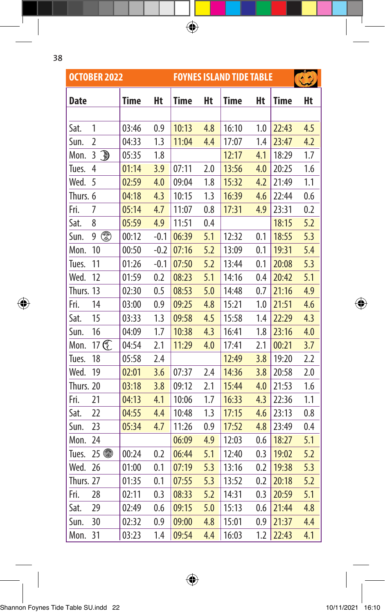$\bigoplus$ 

|             | <b>OCTOBER 2022</b>                           |             |        |             |     | <b>FOYNES ISLAND TIDE TABLE</b> |     |             | $\left( \begin{array}{c} 2 \end{array} \right)$ |
|-------------|-----------------------------------------------|-------------|--------|-------------|-----|---------------------------------|-----|-------------|-------------------------------------------------|
| <b>Date</b> |                                               | <b>Time</b> | Ht     | <b>Time</b> | Ht  | Time                            | Ht  | <b>Time</b> | Ht                                              |
|             |                                               |             |        |             |     |                                 |     |             |                                                 |
| Sat.        | 1                                             | 03:46       | 0.9    | 10:13       | 4.8 | 16:10                           | 1.0 | 22:43       | 4.5                                             |
| Sun.        | 2                                             | 04:33       | 1.3    | 11:04       | 4.4 | 17:07                           | 1.4 | 23:47       | 4.2                                             |
| Mon.        | $\textcolor{red}{\textcircled{\tiny 1}}$<br>3 | 05:35       | 1.8    |             |     | 12:17                           | 4.1 | 18:29       | 1.7                                             |
| Tues.       | 4                                             | 01:14       | 3.9    | 07:11       | 2.0 | 13:56                           | 4.0 | 20:25       | 1.6                                             |
| Wed.        | 5                                             | 02:59       | 4.0    | 09:04       | 1.8 | 15:32                           | 4.2 | 21:49       | 1.1                                             |
| Thurs. 6    |                                               | 04:18       | 4.3    | 10:15       | 1.3 | 16:39                           | 4.6 | 22:44       | 0.6                                             |
| Fri.        | 7                                             | 05:14       | 4.7    | 11:07       | 0.8 | 17:31                           | 4.9 | 23:31       | 0.2                                             |
| Sat.        | 8                                             | 05:59       | 4.9    | 11:51       | 0.4 |                                 |     | 18:15       | 5.2                                             |
| Sun.        | $\overline{\mathbb{Q}}$<br>9                  | 00:12       | $-0.1$ | 06:39       | 5.1 | 12:32                           | 0.1 | 18:55       | 5.3                                             |
| Mon.        | 10                                            | 00:50       | $-0.2$ | 07:16       | 5.2 | 13:09                           | 0.1 | 19:31       | 5.4                                             |
| Tues.       | 11                                            | 01:26       | $-0.1$ | 07:50       | 5.2 | 13:44                           | 0.1 | 20:08       | 5.3                                             |
| Wed.        | 12                                            | 01:59       | 0.2    | 08:23       | 5.1 | 14:16                           | 0.4 | 20:42       | 5.1                                             |
| Thurs. 13   |                                               | 02:30       | 0.5    | 08:53       | 5.0 | 14:48                           | 0.7 | 21:16       | 4.9                                             |
| Fri.        | 14                                            | 03:00       | 0.9    | 09:25       | 4.8 | 15:21                           | 1.0 | 21:51       | 4.6                                             |
| Sat.        | 15                                            | 03:33       | 1.3    | 09:58       | 4.5 | 15:58                           | 1.4 | 22:29       | 4.3                                             |
| Sun.        | 16                                            | 04:09       | 1.7    | 10:38       | 4.3 | 16:41                           | 1.8 | 23:16       | 4.0                                             |
| Mon.        | 17 C                                          | 04:54       | 2.1    | 11:29       | 4.0 | 17:41                           | 2.1 | 00:21       | 3.7                                             |
| Tues.       | 18                                            | 05:58       | 2.4    |             |     | 12:49                           | 3.8 | 19:20       | 2.2                                             |
| Wed.        | 19                                            | 02:01       | 3.6    | 07:37       | 2.4 | 14:36                           | 3.8 | 20:58       | 2.0                                             |
| Thurs. 20   |                                               | 03:18       | 3.8    | 09:12       | 2.1 | 15:44                           | 4.0 | 21:53       | 1.6                                             |
| Fri.        | 21                                            | 04:13       | 4.1    | 10:06       | 1.7 | 16:33                           | 4.3 | 22:36       | 1.1                                             |
| Sat.        | 22                                            | 04:55       | 4.4    | 10:48       | 1.3 | 17:15                           | 4.6 | 23:13       | 0.8                                             |
| Sun.        | 23                                            | 05:34       | 4.7    | 11:26       | 0.9 | 17:52                           | 4.8 | 23:49       | 0.4                                             |
| Mon.        | 24                                            |             |        | 06:09       | 4.9 | 12:03                           | 0.6 | 18:27       | 5.1                                             |
| Tues.       | $25$ to                                       | 00:24       | 0.2    | 06:44       | 5.1 | 12:40                           | 0.3 | 19:02       | 5.2                                             |
| Wed.        | 26                                            | 01:00       | 0.1    | 07:19       | 5.3 | 13:16                           | 0.2 | 19:38       | 5.3                                             |
| Thurs. 27   |                                               | 01:35       | 0.1    | 07:55       | 5.3 | 13:52                           | 0.2 | 20:18       | 5.2                                             |
| Fri.        | 28                                            | 02:11       | 0.3    | 08:33       | 5.2 | 14:31                           | 0.3 | 20:59       | 5.1                                             |
| Sat.        | 29                                            | 02:49       | 0.6    | 09:15       | 5.0 | 15:13                           | 0.6 | 21:44       | 4.8                                             |
| Sun.        | 30                                            | 02:32       | 0.9    | 09:00       | 4.8 | 15:01                           | 0.9 | 21:37       | 4.4                                             |
| Mon.        | 31                                            | 03:23       | 1.4    | 09:54       | 4.4 | 16:03                           | 1.2 | 22:43       | 4.1                                             |

 $\bigoplus$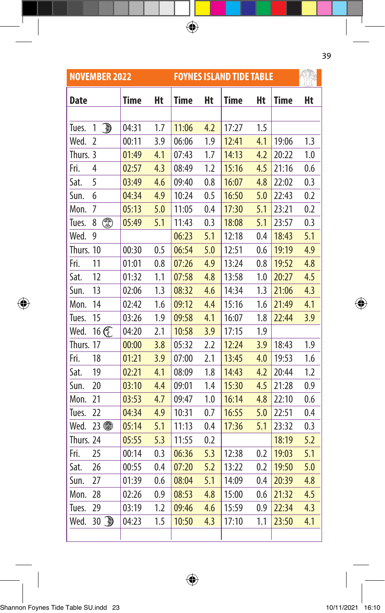| <b>NOVEMBER 2022</b> |                        |       |     |       |     | <b>FOYNES ISLAND TIDE TABLE</b> |     |             |     |
|----------------------|------------------------|-------|-----|-------|-----|---------------------------------|-----|-------------|-----|
| <b>Date</b>          |                        | Time  | Ht  | Time  | Ht  | <b>Time</b>                     | Ht  | <b>Time</b> | Ht  |
|                      |                        |       |     |       |     |                                 |     |             |     |
| Tues.                | $\mathbb{D}$<br>1      | 04:31 | 1.7 | 11:06 | 4.2 | 17:27                           | 1.5 |             |     |
| Wed.                 | $\overline{2}$         | 00:11 | 3.9 | 06:06 | 1.9 | 12:41                           | 4.1 | 19:06       | 1.3 |
| Thurs. 3             |                        | 01:49 | 4.1 | 07:43 | 1.7 | 14:13                           | 4.2 | 20:22       | 1.0 |
| Fri.                 | 4                      | 02:57 | 4.3 | 08:49 | 1.2 | 15:16                           | 4.5 | 21:16       | 0.6 |
| Sat.                 | 5                      | 03:49 | 4.6 | 09:40 | 0.8 | 16:07                           | 4.8 | 22:02       | 0.3 |
| Sun.                 | 6                      | 04:34 | 4.9 | 10:24 | 0.5 | 16:50                           | 5.0 | 22:43       | 0.2 |
| Mon.                 | 7                      | 05:13 | 5.0 | 11:05 | 0.4 | 17:30                           | 5.1 | 23:21       | 0.2 |
| Tues.                | ◎<br>8                 | 05:49 | 5.1 | 11:43 | 0.3 | 18:08                           | 5.1 | 23:57       | 0.3 |
| Wed.                 | 9                      |       |     | 06:23 | 5.1 | 12:18                           | 0.4 | 18:43       | 5.1 |
| Thurs. 10            |                        | 00:30 | 0.5 | 06:54 | 5.0 | 12:51                           | 0.6 | 19:19       | 4.9 |
| Fri.                 | 11                     | 01:01 | 0.8 | 07:26 | 4.9 | 13:24                           | 0.8 | 19:52       | 4.8 |
| Sat.                 | 12                     | 01:32 | 1.1 | 07:58 | 4.8 | 13:58                           | 1.0 | 20:27       | 4.5 |
| Sun.                 | 13                     | 02:06 | 1.3 | 08:32 | 4.6 | 14:34                           | 1.3 | 21:06       | 4.3 |
| Mon.                 | 14                     | 02:42 | 1.6 | 09:12 | 4.4 | 15:16                           | 1.6 | 21:49       | 4.1 |
| Tues.                | 15                     | 03:26 | 1.9 | 09:58 | 4.1 | 16:07                           | 1.8 | 22:44       | 3.9 |
| Wed.                 | 16 区                   | 04:20 | 2.1 | 10:58 | 3.9 | 17:15                           | 1.9 |             |     |
| Thurs. 17            |                        | 00:00 | 3.8 | 05:32 | 2.2 | 12:24                           | 3.9 | 18:43       | 1.9 |
| Fri.                 | 18                     | 01:21 | 3.9 | 07:00 | 2.1 | 13:45                           | 4.0 | 19:53       | 1.6 |
| Sat.                 | 19                     | 02:21 | 4.1 | 08:09 | 1.8 | 14:43                           | 4.2 | 20:44       | 1.2 |
| Sun.                 | 20                     | 03:10 | 4.4 | 09:01 | 1.4 | 15:30                           | 4.5 | 21:28       | 0.9 |
| Mon.                 | 21                     | 03:53 | 4.7 | 09:47 | 1.0 | 16:14                           | 4.8 | 22:10       | 0.6 |
| Tues.                | 22                     | 04:34 | 4.9 | 10:31 | 0.7 | 16:55                           | 5.0 | 22:51       | 0.4 |
| Wed.                 | $23$ to                | 05:14 | 5.1 | 11:13 | 0.4 | 17:36                           | 5.1 | 23:32       | 0.3 |
| Thurs. 24            |                        | 05:55 | 5.3 | 11:55 | 0.2 |                                 |     | 18:19       | 5.2 |
| Fri.                 | 25                     | 00:14 | 0.3 | 06:36 | 5.3 | 12:38                           | 0.2 | 19:03       | 5.1 |
| Sat.                 | 26                     | 00:55 | 0.4 | 07:20 | 5.2 | 13:22                           | 0.2 | 19:50       | 5.0 |
| Sun.                 | 27                     | 01:39 | 0.6 | 08:04 | 5.1 | 14:09                           | 0.4 | 20:39       | 4.8 |
| Mon.                 | 28                     | 02:26 | 0.9 | 08:53 | 4.8 | 15:00                           | 0.6 | 21:32       | 4.5 |
| Tues.                | 29                     | 03:19 | 1.2 | 09:46 | 4.6 | 15:59                           | 0.9 | 22:34       | 4.3 |
| Wed.                 | $30\n  \circled{30}\n$ | 04:23 | 1.5 | 10:50 | 4.3 | 17:10                           | 1.1 | 23:50       | 4.1 |
|                      |                        |       |     |       |     |                                 |     |             |     |

 $\bigoplus$ 

 $\bigoplus$ 

39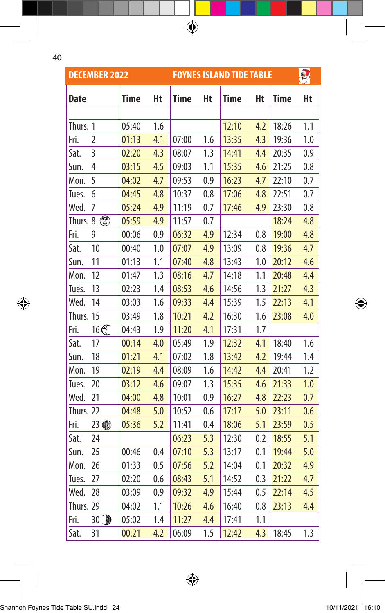$\bigoplus$ 

|           | <b>DECEMBER 2022</b> |             |     |       |     | <b>FOYNES ISLAND TIDE TABLE</b> |     |             | 風   |
|-----------|----------------------|-------------|-----|-------|-----|---------------------------------|-----|-------------|-----|
| Date      |                      | <b>Time</b> | Ht  | Time  | Ht  | <b>Time</b>                     | Ht  | <b>Time</b> | Ht  |
|           |                      |             |     |       |     |                                 |     |             |     |
| Thurs. 1  |                      | 05:40       | 1.6 |       |     | 12:10                           | 4.2 | 18:26       | 1.1 |
| Fri.      | $\overline{2}$       | 01:13       | 4.1 | 07:00 | 1.6 | 13:35                           | 4.3 | 19:36       | 1.0 |
| Sat.      | 3                    | 02:20       | 4.3 | 08:07 | 1.3 | 14:41                           | 4.4 | 20:35       | 0.9 |
| Sun.      | 4                    | 03:15       | 4.5 | 09:03 | 1.1 | 15:35                           | 4.6 | 21:25       | 0.8 |
| Mon.      | 5                    | 04:02       | 4.7 | 09:53 | 0.9 | 16:23                           | 4.7 | 22:10       | 0.7 |
| Tues.     | 6                    | 04:45       | 4.8 | 10:37 | 0.8 | 17:06                           | 4.8 | 22:51       | 0.7 |
| Wed.      | 7                    | 05:24       | 4.9 | 11:19 | 0.7 | 17:46                           | 4.9 | 23:30       | 0.8 |
| Thurs. 8  |                      | 05:59       | 4.9 | 11:57 | 0.7 |                                 |     | 18:24       | 4.8 |
| Fri.      | 9                    | 00:06       | 0.9 | 06:32 | 4.9 | 12:34                           | 0.8 | 19:00       | 4.8 |
| Sat.      | 10                   | 00:40       | 1.0 | 07:07 | 4.9 | 13:09                           | 0.8 | 19:36       | 4.7 |
| Sun.      | 11                   | 01:13       | 1.1 | 07:40 | 4.8 | 13:43                           | 1.0 | 20:12       | 4.6 |
| Mon.      | 12                   | 01:47       | 1.3 | 08:16 | 4.7 | 14:18                           | 1.1 | 20:48       | 4.4 |
| Tues.     | 13                   | 02:23       | 1.4 | 08:53 | 4.6 | 14:56                           | 1.3 | 21:27       | 4.3 |
| Wed.      | 14                   | 03:03       | 1.6 | 09:33 | 4.4 | 15:39                           | 1.5 | 22:13       | 4.1 |
| Thurs. 15 |                      | 03:49       | 1.8 | 10:21 | 4.2 | 16:30                           | 1.6 | 23:08       | 4.0 |
| Fri.      | 16 区                 | 04:43       | 1.9 | 11:20 | 4.1 | 17:31                           | 1.7 |             |     |
| Sat.      | 17                   | 00:14       | 4.0 | 05:49 | 1.9 | 12:32                           | 4.1 | 18:40       | 1.6 |
| Sun.      | 18                   | 01:21       | 4.1 | 07:02 | 1.8 | 13:42                           | 4.2 | 19:44       | 1.4 |
| Mon.      | 19                   | 02:19       | 4.4 | 08:09 | 1.6 | 14:42                           | 4.4 | 20:41       | 1.2 |
| Tues.     | 20                   | 03:12       | 4.6 | 09:07 | 1.3 | 15:35                           | 4.6 | 21:33       | 1.0 |
| Wed.      | 21                   | 04:00       | 4.8 | 10:01 | 0.9 | 16:27                           | 4.8 | 22:23       | 0.7 |
| Thurs. 22 |                      | 04:48       | 5.0 | 10:52 | 0.6 | 17:17                           | 5.0 | 23:11       | 0.6 |
| Fri.      | 23 4                 | 05:36       | 5.2 | 11:41 | 0.4 | 18:06                           | 5.1 | 23:59       | 0.5 |
| Sat.      | 24                   |             |     | 06:23 | 5.3 | 12:30                           | 0.2 | 18:55       | 5.1 |
| Sun.      | 25                   | 00:46       | 0.4 | 07:10 | 5.3 | 13:17                           | 0.1 | 19:44       | 5.0 |
| Mon.      | 26                   | 01:33       | 0.5 | 07:56 | 5.2 | 14:04                           | 0.1 | 20:32       | 4.9 |
| Tues.     | 27                   | 02:20       | 0.6 | 08:43 | 5.1 | 14:52                           | 0.3 | 21:22       | 4.7 |
| Wed.      | 28                   | 03:09       | 0.9 | 09:32 | 4.9 | 15:44                           | 0.5 | 22:14       | 4.5 |
| Thurs. 29 |                      | 04:02       | 1.1 | 10:26 | 4.6 | 16:40                           | 0.8 | 23:13       | 4.4 |
| Fri.      | $30 \text{ m}$       | 05:02       | 1.4 | 11:27 | 4.4 | 17:41                           | 1.1 |             |     |
| Sat.      | 31                   | 00:21       | 4.2 | 06:09 | 1.5 | 12:42                           | 4.3 | 18:45       | 1.3 |

 $\bigoplus$ 

 $\bigoplus$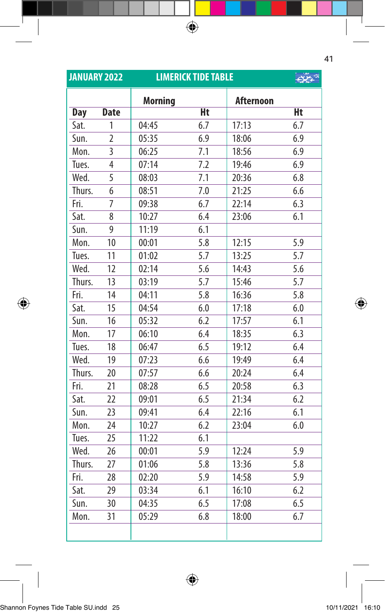| <b>JANUARY 2022</b> |                | <b>LIMERICK TIDE TABLE</b> |     | $55 - 3$         |     |
|---------------------|----------------|----------------------------|-----|------------------|-----|
|                     |                | <b>Morning</b>             |     | <b>Afternoon</b> |     |
| <b>Day</b>          | <b>Date</b>    |                            | Ht  |                  | Ht  |
| Sat.                | 1              | 04:45                      | 6.7 | 17:13            | 6.7 |
| Sun.                | $\overline{2}$ | 05:35                      | 6.9 | 18:06            | 6.9 |
| Mon.                | $\overline{3}$ | 06:25                      | 7.1 | 18:56            | 6.9 |
| Tues.               | 4              | 07:14                      | 7.2 | 19:46            | 6.9 |
| Wed.                | 5              | 08:03                      | 7.1 | 20:36            | 6.8 |
| Thurs.              | 6              | 08:51                      | 7.0 | 21:25            | 6.6 |
| Fri.                | 7              | 09:38                      | 6.7 | 22:14            | 6.3 |
| Sat.                | 8              | 10:27                      | 6.4 | 23:06            | 6.1 |
| Sun.                | 9              | 11:19                      | 6.1 |                  |     |
| Mon.                | 10             | 00:01                      | 5.8 | 12:15            | 5.9 |
| Tues.               | 11             | 01:02                      | 5.7 | 13:25            | 5.7 |
| Wed.                | 12             | 02:14                      | 5.6 | 14:43            | 5.6 |
| Thurs.              | 13             | 03:19                      | 5.7 | 15:46            | 5.7 |
| Fri.                | 14             | 04:11                      | 5.8 | 16:36            | 5.8 |
| Sat.                | 15             | 04:54                      | 6.0 | 17:18            | 6.0 |
| Sun.                | 16             | 05:32                      | 6.2 | 17:57            | 6.1 |
| Mon.                | 17             | 06:10                      | 6.4 | 18:35            | 6.3 |
| Tues.               | 18             | 06:47                      | 6.5 | 19:12            | 6.4 |
| Wed.                | 19             | 07:23                      | 6.6 | 19:49            | 6.4 |
| Thurs.              | 20             | 07:57                      | 6.6 | 20:24            | 6.4 |
| Fri.                | 21             | 08:28                      | 6.5 | 20:58            | 6.3 |
| Sat.                | 22             | 09:01                      | 6.5 | 21:34            | 6.2 |
| Sun.                | 23             | 09:41                      | 6.4 | 22:16            | 6.1 |
| Mon.                | 24             | 10:27                      | 6.2 | 23:04            | 6.0 |
| Tues.               | 25             | 11:22                      | 6.1 |                  |     |
| Wed.                | 26             | 00:01                      | 5.9 | 12:24            | 5.9 |
| Thurs.              | 27             | 01:06                      | 5.8 | 13:36            | 5.8 |
| Fri.                | 28             | 02:20                      | 5.9 | 14:58            | 5.9 |
| Sat.                | 29             | 03:34                      | 6.1 | 16:10            | 6.2 |
| Sun.                | 30             | 04:35                      | 6.5 | 17:08            | 6.5 |
| Mon.                | 31             | 05:29                      | 6.8 | 18:00            | 6.7 |
|                     |                |                            |     |                  |     |

 $\bigoplus$ 

41

I

 $\overline{\phantom{a}}$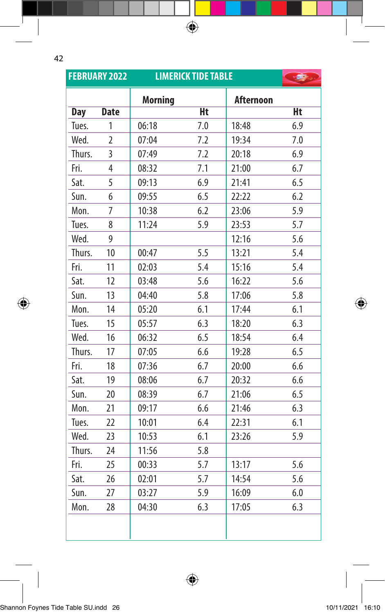⊕

|            | <b>FEBRUARY 2022</b> | <b>LIMERICK TIDE TABLE</b> | <b>Property</b> |                  |     |
|------------|----------------------|----------------------------|-----------------|------------------|-----|
|            |                      | <b>Morning</b>             |                 | <b>Afternoon</b> |     |
| <b>Day</b> | <b>Date</b>          |                            | Ht              |                  | Ht  |
| Tues.      | 1                    | 06:18                      | 7.0             | 18:48            | 6.9 |
| Wed.       | $\overline{2}$       | 07:04                      | 7.2             | 19:34            | 7.0 |
| Thurs.     | 3                    | 07:49                      | 7.2             | 20:18            | 6.9 |
| Fri.       | 4                    | 08:32                      | 7.1             | 21:00            | 6.7 |
| Sat.       | 5                    | 09:13                      | 6.9             | 21:41            | 6.5 |
| Sun.       | 6                    | 09:55                      | 6.5             | 22:22            | 6.2 |
| Mon.       | $\overline{7}$       | 10:38                      | 6.2             | 23:06            | 5.9 |
| Tues.      | 8                    | 11:24                      | 5.9             | 23:53            | 5.7 |
| Wed.       | 9                    |                            |                 | 12:16            | 5.6 |
| Thurs.     | 10                   | 00:47                      | 5.5             | 13:21            | 5.4 |
| Fri.       | 11                   | 02:03                      | 5.4             | 15:16            | 5.4 |
| Sat.       | 12                   | 03:48                      | 5.6             | 16:22            | 5.6 |
| Sun.       | 13                   | 04:40                      | 5.8             | 17:06            | 5.8 |
| Mon.       | 14                   | 05:20                      | 6.1             | 17:44            | 6.1 |
| Tues.      | 15                   | 05:57                      | 6.3             | 18:20            | 6.3 |
| Wed.       | 16                   | 06:32                      | 6.5             | 18:54            | 6.4 |
| Thurs.     | 17                   | 07:05                      | 6.6             | 19:28            | 6.5 |
| Fri.       | 18                   | 07:36                      | 6.7             | 20:00            | 6.6 |
| Sat.       | 19                   | 08:06                      | 6.7             | 20:32            | 6.6 |
| Sun.       | 20                   | 08:39                      | 6.7             | 21:06            | 6.5 |
| Mon.       | 21                   | 09:17                      | 6.6             | 21:46            | 6.3 |
| Tues.      | 22                   | 10:01                      | 6.4             | 22:31            | 6.1 |
| Wed.       | 23                   | 10:53                      | 6.1             | 23:26            | 5.9 |
| Thurs.     | 24                   | 11:56                      | 5.8             |                  |     |
| Fri.       | 25                   | 00:33                      | 5.7             | 13:17            | 5.6 |
| Sat.       | 26                   | 02:01                      | 5.7             | 14:54            | 5.6 |
| Sun.       | 27                   | 03:27                      | 5.9             | 16:09            | 6.0 |
| Mon.       | 28                   | 04:30                      | 6.3             | 17:05            | 6.3 |
|            |                      |                            |                 |                  |     |

 $\bigoplus$ 

 $\bigoplus$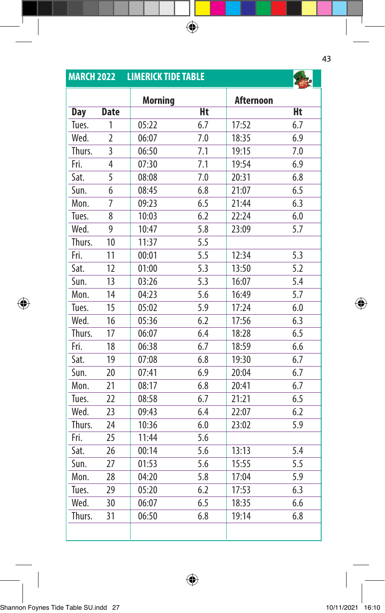| <b>MARCH 2022</b> |                | <b>LIMERICK TIDE TABLE</b> |                  |                  |                  |
|-------------------|----------------|----------------------------|------------------|------------------|------------------|
|                   |                | <b>Morning</b>             |                  | <b>Afternoon</b> |                  |
| <b>Day</b>        | <b>Date</b>    |                            | Ht               |                  | Ht               |
| Tues.             | 1              | 05:22                      | 6.7              | 17:52            | 6.7              |
| Wed.              | $\overline{2}$ | 06:07                      | 7.0              | 18:35            | 6.9              |
| Thurs.            | 3              | 06:50                      | 7.1              | 19:15            | 7.0              |
| Fri.              | 4              | 07:30                      | 7.1              | 19:54            | 6.9              |
| Sat.              | $\overline{5}$ | 08:08                      | 7.0              | 20:31            | 6.8              |
| Sun.              | 6              | 08:45                      | 6.8              | 21:07            | 6.5              |
| Mon.              | 7              | 09:23                      | 6.5              | 21:44            | 6.3              |
| Tues.             | 8              | 10:03                      | 6.2              | 22:24            | 6.0              |
| Wed.              | 9              | 10:47                      | 5.8              | 23:09            | 5.7              |
| Thurs.            | 10             | 11:37                      | 5.5              |                  |                  |
| Fri.              | 11             | 00:01                      | 5.5              | 12:34            | 5.3              |
| Sat.              | 12             | 01:00                      | 5.3              | 13:50            | $\overline{5.2}$ |
| Sun.              | 13             | 03:26                      | $\overline{5.3}$ | 16:07            | 5.4              |
| Mon.              | 14             | 04:23                      | 5.6              | 16:49            | 5.7              |
| Tues.             | 15             | 05:02                      | 5.9              | 17:24            | 6.0              |
| Wed.              | 16             | 05:36                      | 6.2              | 17:56            | 6.3              |
| Thurs.            | 17             | 06:07                      | 6.4              | 18:28            | 6.5              |
| Fri.              | 18             | 06:38                      | 6.7              | 18:59            | 6.6              |
| Sat.              | 19             | 07:08                      | 6.8              | 19:30            | 6.7              |
| Sun.              | 20             | 07:41                      | 6.9              | 20:04            | 6.7              |
| Mon.              | 21             | 08:17                      | 6.8              | 20:41            | 6.7              |
| Tues.             | 22             | 08:58                      | 6.7              | 21:21            | 6.5              |
| Wed.              | 23             | 09:43                      | 6.4              | 22:07            | 6.2              |
| Thurs.            | 24             | 10:36                      | 6.0              | 23:02            | 5.9              |
| Fri.              | 25             | 11:44                      | 5.6              |                  |                  |
| Sat.              | 26             | 00:14                      | 5.6              | 13:13            | 5.4              |
| Sun.              | 27             | 01:53                      | 5.6              | 15:55            | 5.5              |
| Mon.              | 28             | 04:20                      | 5.8              | 17:04            | 5.9              |
| Tues.             | 29             | 05:20                      | 6.2              | 17:53            | 6.3              |
| Wed.              | 30             | 06:07                      | 6.5              | 18:35            | 6.6              |
| Thurs.            | 31             | 06:50                      | 6.8              | 19:14            | 6.8              |
|                   |                |                            |                  |                  |                  |

 $\bigoplus$ 

43

Shannon Foynes Tide Table SU.indd 27 10/11/2021 16:10

I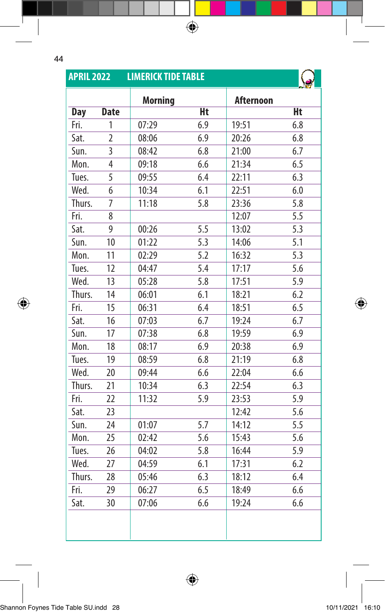T

 $\bigoplus$ 

| <b>APRIL 2022</b> |                | <b>LIMERICK TIDE TABLE</b> |           |                  |                  |
|-------------------|----------------|----------------------------|-----------|------------------|------------------|
|                   |                | <b>Morning</b>             |           | <b>Afternoon</b> |                  |
| <b>Day</b>        | <b>Date</b>    |                            | <b>Ht</b> |                  | Ht               |
| Fri.              | 1              | 07:29                      | 6.9       | 19:51            | 6.8              |
| Sat.              | $\overline{2}$ | 08:06                      | 6.9       | 20:26            | 6.8              |
| Sun.              | 3              | 08:42                      | 6.8       | 21:00            | 6.7              |
| Mon.              | 4              | 09:18                      | 6.6       | 21:34            | 6.5              |
| Tues.             | 5              | 09:55                      | 6.4       | 22:11            | 6.3              |
| Wed.              | 6              | 10:34                      | 6.1       | 22:51            | 6.0              |
| Thurs.            | $\overline{7}$ | 11:18                      | 5.8       | 23:36            | 5.8              |
| Fri.              | 8              |                            |           | 12:07            | 5.5              |
| Sat.              | 9              | 00:26                      | 5.5       | 13:02            | 5.3              |
| Sun.              | 10             | 01:22                      | 5.3       | 14:06            | $\overline{5.1}$ |
| Mon.              | 11             | 02:29                      | 5.2       | 16:32            | 5.3              |
| Tues.             | 12             | 04:47                      | 5.4       | 17:17            | 5.6              |
| Wed.              | 13             | 05:28                      | 5.8       | 17:51            | 5.9              |
| Thurs.            | 14             | 06:01                      | 6.1       | 18:21            | 6.2              |
| Fri.              | 15             | 06:31                      | 6.4       | 18:51            | 6.5              |
| Sat.              | 16             | 07:03                      | 6.7       | 19:24            | 6.7              |
| Sun.              | 17             | 07:38                      | 6.8       | 19:59            | 6.9              |
| Mon.              | 18             | 08:17                      | 6.9       | 20:38            | 6.9              |
| Tues.             | 19             | 08:59                      | 6.8       | 21:19            | 6.8              |
| Wed.              | 20             | 09:44                      | 6.6       | 22:04            | 6.6              |
| Thurs.            | 21             | 10:34                      | 6.3       | 22:54            | 6.3              |
| Fri.              | 22             | 11:32                      | 5.9       | 23:53            | 5.9              |
| Sat.              | 23             |                            |           | 12:42            | 5.6              |
| Sun.              | 24             | 01:07                      | 5.7       | 14:12            | 5.5              |
| Mon.              | 25             | 02:42                      | 5.6       | 15:43            | 5.6              |
| Tues.             | 26             | 04:02                      | 5.8       | 16:44            | $\overline{5.9}$ |
| Wed.              | 27             | 04:59                      | 6.1       | 17:31            | 6.2              |
| Thurs.            | 28             | 05:46                      | 6.3       | 18:12            | 6.4              |
| Fri.              | 29             | 06:27                      | 6.5       | 18:49            | 6.6              |
| Sat.              | 30             | 07:06                      | 6.6       | 19:24            | 6.6              |
|                   |                |                            |           |                  |                  |

 $\bigoplus$ 

 $\bigoplus$ 

 $\bigoplus$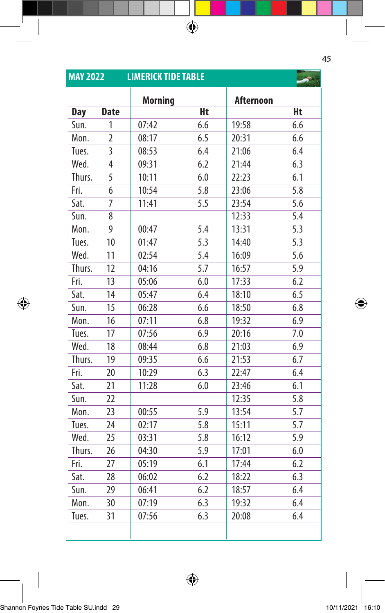| <b>MAY 2022</b> |                | <b>LIMERICK TIDE TABLE</b> |                  |                  |                  |
|-----------------|----------------|----------------------------|------------------|------------------|------------------|
|                 |                | <b>Morning</b>             |                  | <b>Afternoon</b> |                  |
| <b>Day</b>      | <b>Date</b>    |                            | Ht               |                  | Ht               |
| Sun.            | 1              | 07:42                      | 6.6              | 19:58            | 6.6              |
| Mon.            | $\overline{2}$ | 08:17                      | 6.5              | 20:31            | 6.6              |
| Tues.           | 3              | 08:53                      | 6.4              | 21:06            | 6.4              |
| Wed.            | 4              | 09:31                      | 6.2              | 21:44            | 6.3              |
| Thurs.          | 5              | 10:11                      | 6.0              | 22:23            | 6.1              |
| Fri.            | 6              | 10:54                      | 5.8              | 23:06            | 5.8              |
| Sat.            | 7              | 11:41                      | 5.5              | 23:54            | 5.6              |
| Sun.            | 8              |                            |                  | 12:33            | 5.4              |
| Mon.            | 9              | 00:47                      | 5.4              | 13:31            | 5.3              |
| Tues.           | 10             | 01:47                      | 5.3              | 14:40            | 5.3              |
| Wed.            | 11             | 02:54                      | 5.4              | 16:09            | 5.6              |
| Thurs.          | 12             | 04:16                      | $5.\overline{7}$ | 16:57            | $\overline{5.9}$ |
| Fri.            | 13             | 05:06                      | 6.0              | 17:33            | 6.2              |
| Sat.            | 14             | 05:47                      | 6.4              | 18:10            | 6.5              |
| Sun.            | 15             | 06:28                      | 6.6              | 18:50            | 6.8              |
| Mon.            | 16             | 07:11                      | 6.8              | 19:32            | 6.9              |
| Tues.           | 17             | 07:56                      | 6.9              | 20:16            | 7.0              |
| Wed.            | 18             | 08:44                      | 6.8              | 21:03            | 6.9              |
| Thurs.          | 19             | 09:35                      | 6.6              | 21:53            | 6.7              |
| Fri.            | 20             | 10:29                      | 6.3              | 22:47            | 6.4              |
| Sat.            | 21             | 11:28                      | 6.0              | 23:46            | 6.1              |
| Sun.            | 22             |                            |                  | 12:35            | 5.8              |
| Mon.            | 23             | 00:55                      | 5.9              | 13:54            | 5.7              |
| Tues.           | 24             | 02:17                      | 5.8              | 15:11            | 5.7              |
| Wed.            | 25             | 03:31                      | 5.8              | 16:12            | 5.9              |
| Thurs.          | 26             | 04:30                      | 5.9              | 17:01            | 6.0              |
| Fri.            | 27             | 05:19                      | 6.1              | 17:44            | 6.2              |
| Sat.            | 28             | 06:02                      | 6.2              | 18:22            | 6.3              |
| Sun.            | 29             | 06:41                      | 6.2              | 18:57            | 6.4              |
| Mon.            | 30             | 07:19                      | 6.3              | 19:32            | 6.4              |
| Tues.           | 31             | 07:56                      | 6.3              | 20:08            | 6.4              |
|                 |                |                            |                  |                  |                  |

 $\bigoplus$ 

45

Shannon Foynes Tide Table SU.indd 29 10/11/2021 16:10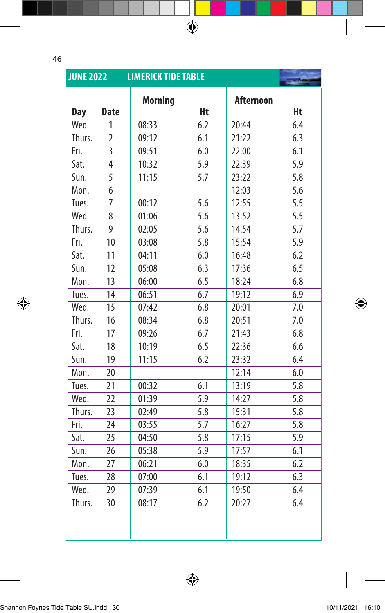$\bigoplus$ 

| <b>JUNE 2022</b> |                | <b>LIMERICK TIDE TABLE</b> |     |                  |     |
|------------------|----------------|----------------------------|-----|------------------|-----|
|                  |                | <b>Morning</b>             |     | <b>Afternoon</b> |     |
| <b>Day</b>       | <b>Date</b>    |                            | Ht  |                  | Ht  |
| Wed.             | 1              | 08:33                      | 6.2 | 20:44            | 6.4 |
| Thurs.           | $\overline{2}$ | 09:12                      | 6.1 | 21:22            | 6.3 |
| Fri.             | 3              | 09:51                      | 6.0 | 22:00            | 6.1 |
| Sat.             | 4              | 10:32                      | 5.9 | 22:39            | 5.9 |
| Sun.             | 5              | 11:15                      | 5.7 | 23:22            | 5.8 |
| Mon.             | 6              |                            |     | 12:03            | 5.6 |
| Tues.            | 7              | 00:12                      | 5.6 | 12:55            | 5.5 |
| Wed.             | 8              | 01:06                      | 5.6 | 13:52            | 5.5 |
| Thurs.           | $\overline{9}$ | 02:05                      | 5.6 | 14:54            | 5.7 |
| Fri.             | 10             | 03:08                      | 5.8 | 15:54            | 5.9 |
| Sat.             | 11             | 04:11                      | 6.0 | 16:48            | 6.2 |
| Sun.             | 12             | 05:08                      | 6.3 | 17:36            | 6.5 |
| Mon.             | 13             | 06:00                      | 6.5 | 18:24            | 6.8 |
| Tues.            | 14             | 06:51                      | 6.7 | 19:12            | 6.9 |
| Wed.             | 15             | 07:42                      | 6.8 | 20:01            | 7.0 |
| Thurs.           | 16             | 08:34                      | 6.8 | 20:51            | 7.0 |
| Fri.             | 17             | 09:26                      | 6.7 | 21:43            | 6.8 |
| Sat.             | 18             | 10:19                      | 6.5 | 22:36            | 6.6 |
| Sun.             | 19             | 11:15                      | 6.2 | 23:32            | 6.4 |
| Mon.             | 20             |                            |     | 12:14            | 6.0 |
| Tues.            | 21             | 00:32                      | 6.1 | 13:19            | 5.8 |
| Wed.             | 22             | 01:39                      | 5.9 | 14:27            | 5.8 |
| Thurs.           | 23             | 02:49                      | 5.8 | 15:31            | 5.8 |
| Fri.             | 24             | 03:55                      | 5.7 | 16:27            | 5.8 |
| Sat.             | 25             | 04:50                      | 5.8 | 17:15            | 5.9 |
| Sun.             | 26             | 05:38                      | 5.9 | 17:57            | 6.1 |
| Mon.             | 27             | 06:21                      | 6.0 | 18:35            | 6.2 |
| Tues.            | 28             | 07:00                      | 6.1 | 19:12            | 6.3 |
| Wed.             | 29             | 07:39                      | 6.1 | 19:50            | 6.4 |
| Thurs.           | 30             | 08:17                      | 6.2 | 20:27            | 6.4 |
|                  |                |                            |     |                  |     |

 $\bigoplus$ 

 $\bigoplus$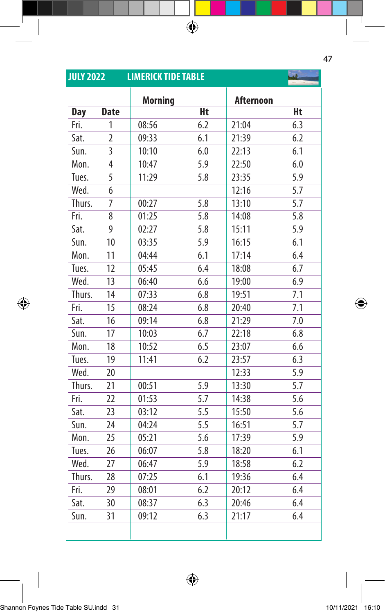| <b>JULY 2022</b> |                | <b>LIMERICK TIDE TABLE</b> |     |                  |     |
|------------------|----------------|----------------------------|-----|------------------|-----|
|                  |                | <b>Morning</b>             |     | <b>Afternoon</b> |     |
| <b>Day</b>       | <b>Date</b>    |                            | Ht  |                  | Ht  |
| Fri.             | 1              | 08:56                      | 6.2 | 21:04            | 6.3 |
| Sat.             | $\overline{2}$ | 09:33                      | 6.1 | 21:39            | 6.2 |
| Sun.             | 3              | 10:10                      | 6.0 | 22:13            | 6.1 |
| Mon.             | 4              | 10:47                      | 5.9 | 22:50            | 6.0 |
| Tues.            | 5              | 11:29                      | 5.8 | 23:35            | 5.9 |
| Wed.             | 6              |                            |     | 12:16            | 5.7 |
| Thurs.           | 7              | 00:27                      | 5.8 | 13:10            | 5.7 |
| Fri.             | 8              | 01:25                      | 5.8 | 14:08            | 5.8 |
| Sat.             | 9              | 02:27                      | 5.8 | 15:11            | 5.9 |
| Sun.             | 10             | 03:35                      | 5.9 | 16:15            | 6.1 |
| Mon.             | 11             | 04:44                      | 6.1 | 17:14            | 6.4 |
| Tues.            | 12             | 05:45                      | 6.4 | 18:08            | 6.7 |
| Wed.             | 13             | 06:40                      | 6.6 | 19:00            | 6.9 |
| Thurs.           | 14             | 07:33                      | 6.8 | 19:51            | 7.1 |
| Fri.             | 15             | 08:24                      | 6.8 | 20:40            | 7.1 |
| Sat.             | 16             | 09:14                      | 6.8 | 21:29            | 7.0 |
| Sun.             | 17             | 10:03                      | 6.7 | 22:18            | 6.8 |
| Mon.             | 18             | 10:52                      | 6.5 | 23:07            | 6.6 |
| Tues.            | 19             | 11:41                      | 6.2 | 23:57            | 6.3 |
| Wed.             | 20             |                            |     | 12:33            | 5.9 |
| Thurs.           | 21             | 00:51                      | 5.9 | 13:30            | 5.7 |
| Fri.             | 22             | 01:53                      | 5.7 | 14:38            | 5.6 |
| Sat.             | 23             | 03:12                      | 5.5 | 15:50            | 5.6 |
| Sun.             | 24             | 04:24                      | 5.5 | 16:51            | 5.7 |
| Mon.             | 25             | 05:21                      | 5.6 | 17:39            | 5.9 |
| Tues.            | 26             | 06:07                      | 5.8 | 18:20            | 6.1 |
| Wed.             | 27             | 06:47                      | 5.9 | 18:58            | 6.2 |
| Thurs.           | 28             | 07:25                      | 6.1 | 19:36            | 6.4 |
| Fri.             | 29             | 08:01                      | 6.2 | 20:12            | 6.4 |
| Sat.             | 30             | 08:37                      | 6.3 | 20:46            | 6.4 |
| Sun.             | 31             | 09:12                      | 6.3 | 21:17            | 6.4 |
|                  |                |                            |     |                  |     |

47

 $\overline{\phantom{a}}$ 

 $\bigoplus$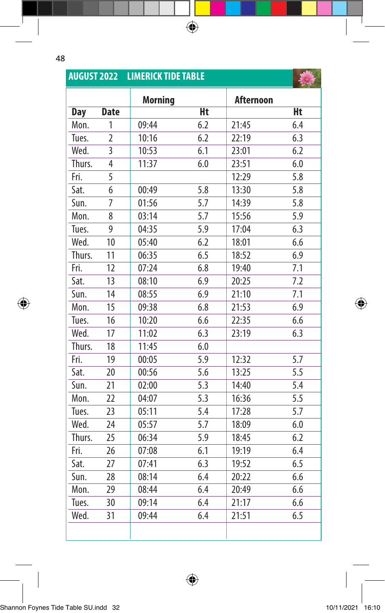$\bigoplus$ 

|            |                | <b>AUGUST 2022 LIMERICK TIDE TABLE</b> |     |                  |     |
|------------|----------------|----------------------------------------|-----|------------------|-----|
|            |                | <b>Morning</b>                         |     | <b>Afternoon</b> |     |
| <b>Day</b> | <b>Date</b>    |                                        | Ht  |                  | Ht  |
| Mon.       | 1              | 09:44                                  | 6.2 | 21:45            | 6.4 |
| Tues.      | $\overline{2}$ | 10:16                                  | 6.2 | 22:19            | 6.3 |
| Wed.       | 3              | 10:53                                  | 6.1 | 23:01            | 6.2 |
| Thurs.     | 4              | 11:37                                  | 6.0 | 23:51            | 6.0 |
| Fri.       | 5              |                                        |     | 12:29            | 5.8 |
| Sat.       | 6              | 00:49                                  | 5.8 | 13:30            | 5.8 |
| Sun.       | 7              | 01:56                                  | 5.7 | 14:39            | 5.8 |
| Mon.       | 8              | 03:14                                  | 5.7 | 15:56            | 5.9 |
| Tues.      | 9              | 04:35                                  | 5.9 | 17:04            | 6.3 |
| Wed.       | 10             | 05:40                                  | 6.2 | 18:01            | 6.6 |
| Thurs.     | 11             | 06:35                                  | 6.5 | 18:52            | 6.9 |
| Fri.       | 12             | 07:24                                  | 6.8 | 19:40            | 7.1 |
| Sat.       | 13             | 08:10                                  | 6.9 | 20:25            | 7.2 |
| Sun.       | 14             | 08:55                                  | 6.9 | 21:10            | 7.1 |
| Mon.       | 15             | 09:38                                  | 6.8 | 21:53            | 6.9 |
| Tues.      | 16             | 10:20                                  | 6.6 | 22:35            | 6.6 |
| Wed.       | 17             | 11:02                                  | 6.3 | 23:19            | 6.3 |
| Thurs.     | 18             | 11:45                                  | 6.0 |                  |     |
| Fri.       | 19             | 00:05                                  | 5.9 | 12:32            | 5.7 |
| Sat.       | 20             | 00:56                                  | 5.6 | 13:25            | 5.5 |
| Sun.       | 21             | 02:00                                  | 5.3 | 14:40            | 5.4 |
| Mon.       | 22             | 04:07                                  | 5.3 | 16:36            | 5.5 |
| Tues.      | 23             | 05:11                                  | 5.4 | 17:28            | 5.7 |
| Wed.       | 24             | 05:57                                  | 5.7 | 18:09            | 6.0 |
| Thurs.     | 25             | 06:34                                  | 5.9 | 18:45            | 6.2 |
| Fri.       | 26             | 07:08                                  | 6.1 | 19:19            | 6.4 |
| Sat.       | 27             | 07:41                                  | 6.3 | 19:52            | 6.5 |
| Sun.       | 28             | 08:14                                  | 6.4 | 20:22            | 6.6 |
| Mon.       | 29             | 08:44                                  | 6.4 | 20:49            | 6.6 |
| Tues.      | 30             | 09:14                                  | 6.4 | 21:17            | 6.6 |
| Wed.       | 31             | 09:44                                  | 6.4 | 21:51            | 6.5 |
|            |                |                                        |     |                  |     |

 $\bigoplus$ 

 $\bigoplus$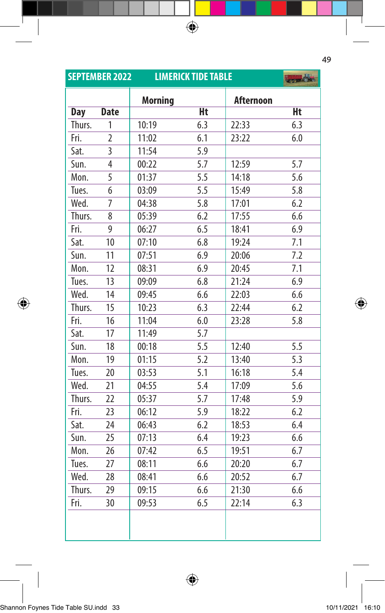|            | <b>SEPTEMBER 2022</b> | <b>LIMERICK TIDE TABLE</b> | 表示的       |                  |           |
|------------|-----------------------|----------------------------|-----------|------------------|-----------|
|            |                       | <b>Morning</b>             |           | <b>Afternoon</b> |           |
| <b>Day</b> | <b>Date</b>           |                            | <b>Ht</b> |                  | <b>Ht</b> |
| Thurs.     | 1                     | 10:19                      | 6.3       | 22:33            | 6.3       |
| Fri.       | $\overline{2}$        | 11:02                      | 6.1       | 23:22            | 6.0       |
| Sat.       | $\overline{3}$        | 11:54                      | 5.9       |                  |           |
| Sun.       | $\overline{4}$        | 00:22                      | 5.7       | 12:59            | 5.7       |
| Mon.       | $\overline{5}$        | 01:37                      | 5.5       | 14:18            | 5.6       |
| Tues.      | 6                     | 03:09                      | 5.5       | 15:49            | 5.8       |
| Wed.       | $\overline{7}$        | 04:38                      | 5.8       | 17:01            | 6.2       |
| Thurs.     | 8                     | 05:39                      | 6.2       | 17:55            | 6.6       |
| Fri.       | 9                     | 06:27                      | 6.5       | 18:41            | 6.9       |
| Sat.       | 10                    | 07:10                      | 6.8       | 19:24            | 7.1       |
| Sun.       | 11                    | 07:51                      | 6.9       | 20:06            | 7.2       |
| Mon.       | 12                    | 08:31                      | 6.9       | 20:45            | 7.1       |
| Tues.      | 13                    | 09:09                      | 6.8       | 21:24            | 6.9       |
| Wed.       | 14                    | 09:45                      | 6.6       | 22:03            | 6.6       |
| Thurs.     | 15                    | 10:23                      | 6.3       | 22:44            | 6.2       |
| Fri.       | 16                    | 11:04                      | 6.0       | 23:28            | 5.8       |
| Sat.       | 17                    | 11:49                      | 5.7       |                  |           |
| Sun.       | 18                    | 00:18                      | 5.5       | 12:40            | 5.5       |
| Mon.       | 19                    | 01:15                      | 5.2       | 13:40            | 5.3       |
| Tues.      | 20                    | 03:53                      | 5.1       | 16:18            | 5.4       |
| Wed.       | 21                    | 04:55                      | 5.4       | 17:09            | 5.6       |
| Thurs.     | 22                    | 05:37                      | 5.7       | 17:48            | 5.9       |
| Fri.       | 23                    | 06:12                      | 5.9       | 18:22            | 6.2       |
| Sat.       | 24                    | 06:43                      | 6.2       | 18:53            | 6.4       |
| Sun.       | 25                    | 07:13                      | 6.4       | 19:23            | 6.6       |
| Mon.       | 26                    | 07:42                      | 6.5       | 19:51            | 6.7       |
| Tues.      | 27                    | 08:11                      | 6.6       | 20:20            | 6.7       |
| Wed.       | 28                    | 08:41                      | 6.6       | 20:52            | 6.7       |
| Thurs.     | 29                    | 09:15                      | 6.6       | 21:30            | 6.6       |
| Fri.       | 30                    | 09:53                      | 6.5       | 22:14            | 6.3       |
|            |                       |                            |           |                  |           |

 $\bigoplus$ 

49

I

 $\overline{\phantom{a}}$ 

 $\bigoplus$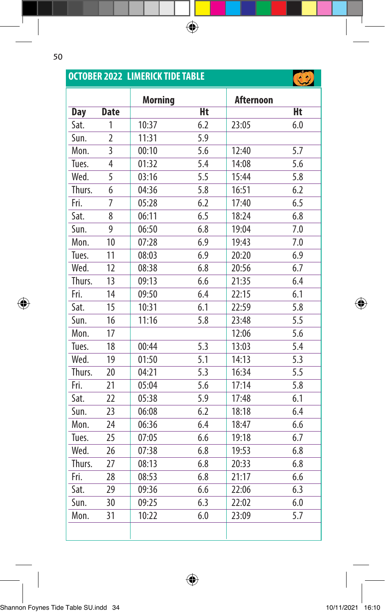$\bigoplus$ 

|            |                | <b>OCTOBER 2022 LIMERICK TIDE TABLE</b> |     |           |     |
|------------|----------------|-----------------------------------------|-----|-----------|-----|
|            |                | <b>Morning</b>                          |     | Afternoon |     |
| <b>Day</b> | <b>Date</b>    |                                         | Ht  |           | Ht  |
| Sat.       | 1              | 10:37                                   | 6.2 | 23:05     | 6.0 |
| Sun.       | $\overline{2}$ | 11:31                                   | 5.9 |           |     |
| Mon.       | 3              | 00:10                                   | 5.6 | 12:40     | 5.7 |
| Tues.      | 4              | 01:32                                   | 5.4 | 14:08     | 5.6 |
| Wed.       | 5              | 03:16                                   | 5.5 | 15:44     | 5.8 |
| Thurs.     | 6              | 04:36                                   | 5.8 | 16:51     | 6.2 |
| Fri.       | 7              | 05:28                                   | 6.2 | 17:40     | 6.5 |
| Sat.       | 8              | 06:11                                   | 6.5 | 18:24     | 6.8 |
| Sun.       | 9              | 06:50                                   | 6.8 | 19:04     | 7.0 |
| Mon.       | 10             | 07:28                                   | 6.9 | 19:43     | 7.0 |
| Tues.      | 11             | 08:03                                   | 6.9 | 20:20     | 6.9 |
| Wed.       | 12             | 08:38                                   | 6.8 | 20:56     | 6.7 |
| Thurs.     | 13             | 09:13                                   | 6.6 | 21:35     | 6.4 |
| Fri.       | 14             | 09:50                                   | 6.4 | 22:15     | 6.1 |
| Sat.       | 15             | 10:31                                   | 6.1 | 22:59     | 5.8 |
| Sun.       | 16             | 11:16                                   | 5.8 | 23:48     | 5.5 |
| Mon.       | 17             |                                         |     | 12:06     | 5.6 |
| Tues.      | 18             | 00:44                                   | 5.3 | 13:03     | 5.4 |
| Wed.       | 19             | 01:50                                   | 5.1 | 14:13     | 5.3 |
| Thurs.     | 20             | 04:21                                   | 5.3 | 16:34     | 5.5 |
| Fri.       | 21             | 05:04                                   | 5.6 | 17:14     | 5.8 |
| Sat.       | 22             | 05:38                                   | 5.9 | 17:48     | 6.1 |
| Sun.       | 23             | 06:08                                   | 6.2 | 18:18     | 6.4 |
| Mon.       | 24             | 06:36                                   | 6.4 | 18:47     | 6.6 |
| Tues.      | 25             | 07:05                                   | 6.6 | 19:18     | 6.7 |
| Wed.       | 26             | 07:38                                   | 6.8 | 19:53     | 6.8 |
| Thurs.     | 27             | 08:13                                   | 6.8 | 20:33     | 6.8 |
| Fri.       | 28             | 08:53                                   | 6.8 | 21:17     | 6.6 |
| Sat.       | 29             | 09:36                                   | 6.6 | 22:06     | 6.3 |
| Sun.       | 30             | 09:25                                   | 6.3 | 22:02     | 6.0 |
| Mon.       | 31             | 10:22                                   | 6.0 | 23:09     | 5.7 |
|            |                |                                         |     |           |     |

 $\bigoplus$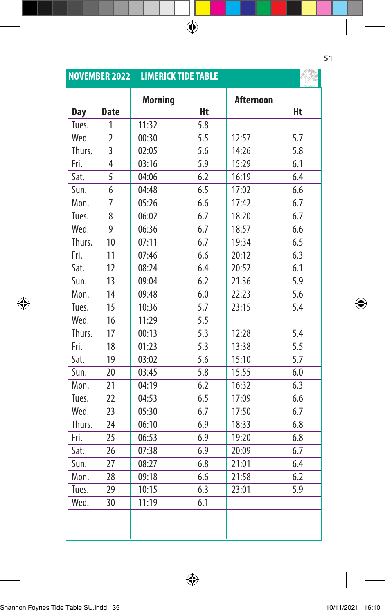|            | <b>NOVEMBER 2022</b>    | <b>LIMERICK TIDE TABLE</b> |     |                  |     |
|------------|-------------------------|----------------------------|-----|------------------|-----|
|            |                         | <b>Morning</b>             |     | <b>Afternoon</b> |     |
| <b>Day</b> | <b>Date</b>             |                            | Ht  |                  | Ht  |
| Tues.      | 1                       | 11:32                      | 5.8 |                  |     |
| Wed.       | $\overline{2}$          | 00:30                      | 5.5 | 12:57            | 5.7 |
| Thurs.     | 3                       | 02:05                      | 5.6 | 14:26            | 5.8 |
| Fri.       | $\overline{\mathbf{4}}$ | 03:16                      | 5.9 | 15:29            | 6.1 |
| Sat.       | 5                       | 04:06                      | 6.2 | 16:19            | 6.4 |
| Sun.       | 6                       | 04:48                      | 6.5 | 17:02            | 6.6 |
| Mon.       | 7                       | 05:26                      | 6.6 | 17:42            | 6.7 |
| Tues.      | 8                       | 06:02                      | 6.7 | 18:20            | 6.7 |
| Wed.       | 9                       | 06:36                      | 6.7 | 18:57            | 6.6 |
| Thurs.     | 10                      | 07:11                      | 6.7 | 19:34            | 6.5 |
| Fri.       | 11                      | 07:46                      | 6.6 | 20:12            | 6.3 |
| Sat.       | 12                      | 08:24                      | 6.4 | 20:52            | 6.1 |
| Sun.       | 13                      | 09:04                      | 6.2 | 21:36            | 5.9 |
| Mon.       | 14                      | 09:48                      | 6.0 | 22:23            | 5.6 |
| Tues.      | 15                      | 10:36                      | 5.7 | 23:15            | 5.4 |
| Wed.       | 16                      | 11:29                      | 5.5 |                  |     |
| Thurs.     | 17                      | 00:13                      | 5.3 | 12:28            | 5.4 |
| Fri.       | 18                      | 01:23                      | 5.3 | 13:38            | 5.5 |
| Sat.       | 19                      | 03:02                      | 5.6 | 15:10            | 5.7 |
| Sun.       | 20                      | 03:45                      | 5.8 | 15:55            | 6.0 |
| Mon.       | 21                      | 04:19                      | 6.2 | 16:32            | 6.3 |
| Tues.      | 22                      | 04:53                      | 6.5 | 17:09            | 6.6 |
| Wed.       | 23                      | 05:30                      | 6.7 | 17:50            | 6.7 |
| Thurs.     | 24                      | 06:10                      | 6.9 | 18:33            | 6.8 |
| Fri.       | 25                      | 06:53                      | 6.9 | 19:20            | 6.8 |
| Sat.       | 26                      | 07:38                      | 6.9 | 20:09            | 6.7 |
| Sun.       | 27                      | 08:27                      | 6.8 | 21:01            | 6.4 |
| Mon.       | 28                      | 09:18                      | 6.6 | 21:58            | 6.2 |
| Tues.      | 29                      | 10:15                      | 6.3 | 23:01            | 5.9 |
| Wed.       | 30                      | 11:19                      | 6.1 |                  |     |
|            |                         |                            |     |                  |     |
|            |                         |                            |     |                  |     |

 $\bigoplus$ 

## |<br>Shannon Foynes Tide Table SU.indd 35 10/11/2021 16:10 10/11/2021 16:10 I

 $\bigoplus$ 

51